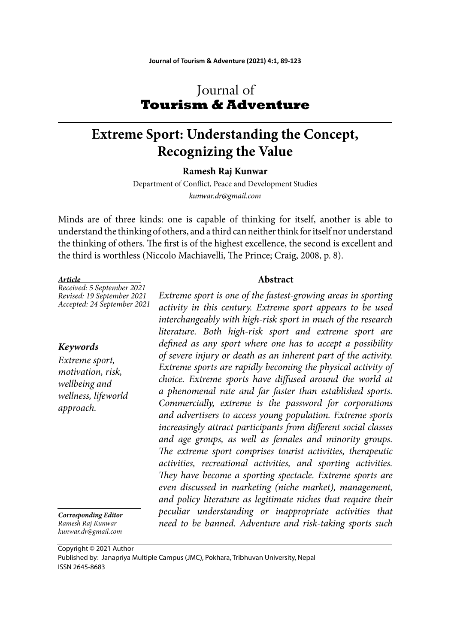# Journal of **Tourism & Adventure**

# **Extreme Sport: Understanding the Concept, Recognizing the Value**

**Ramesh Raj Kunwar**

Department of Conflict, Peace and Development Studies *kunwar.dr@gmail.com*

Minds are of three kinds: one is capable of thinking for itself, another is able to understand the thinking of others, and a third can neither think for itself nor understand the thinking of others. The first is of the highest excellence, the second is excellent and the third is worthless (Niccolo Machiavelli, The Prince; Craig, 2008, p. 8).

#### *Article*

*Received: 5 September 2021 Revised: 19 September 2021 Accepted: 24 September 2021*

### *Keywords*

*Extreme sport, motivation, risk, wellbeing and wellness, lifeworld approach.*

*Corresponding Editor Ramesh Raj Kunwar kunwar.dr@gmail.com*

**Abstract** 

*Extreme sport is one of the fastest-growing areas in sporting activity in this century. Extreme sport appears to be used interchangeably with high-risk sport in much of the research literature. Both high-risk sport and extreme sport are defi ned as any sport where one has to accept a possibility of severe injury or death as an inherent part of the activity. Extreme sports are rapidly becoming the physical activity of choice. Extreme sports have diff used around the world at a phenomenal rate and far faster than established sports. Commercially, extreme is the password for corporations and advertisers to access young population. Extreme sports increasingly attract participants from different social classes and age groups, as well as females and minority groups.*  The extreme sport comprises tourist activities, therapeutic *activities, recreational activities, and sporting activities. They have become a sporting spectacle. Extreme sports are even discussed in marketing (niche market), management, and policy literature as legitimate niches that require their peculiar understanding or inappropriate activities that need to be banned. Adventure and risk-taking sports such* 

Copyright © 2021 Author Published by: Janapriya Multiple Campus (JMC), Pokhara, Tribhuvan University, Nepal ISSN 2645-8683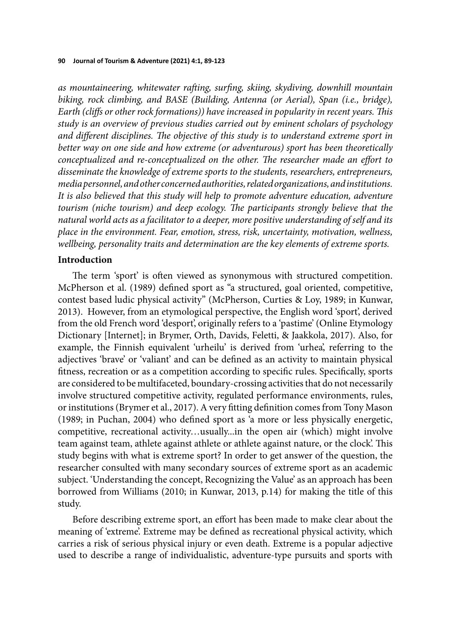as mountaineering, whitewater rafting, surfing, skiing, skydiving, downhill mountain *biking, rock climbing, and BASE (Building, Antenna (or Aerial), Span (i.e., bridge), Earth (cliffs or other rock formations)) have increased in popularity in recent years. This study is an overview of previous studies carried out by eminent scholars of psychology*  and different disciplines. The objective of this study is to understand extreme sport in *better way on one side and how extreme (or adventurous) sport has been theoretically conceptualized and re-conceptualized on the other. The researcher made an effort to disseminate the knowledge of extreme sports to the students, researchers, entrepreneurs, media personnel, and other concerned authorities, related organizations, and institutions. It is also believed that this study will help to promote adventure education, adventure tourism (niche tourism) and deep ecology. The participants strongly believe that the natural world acts as a facilitator to a deeper, more positive understanding of self and its place in the environment. Fear, emotion, stress, risk, uncertainty, motivation, wellness, wellbeing, personality traits and determination are the key elements of extreme sports.*

### **Introduction**

The term 'sport' is often viewed as synonymous with structured competition. McPherson et al. (1989) defined sport as "a structured, goal oriented, competitive, contest based ludic physical activity" (McPherson, Curties & Loy, 1989; in Kunwar, 2013). However, from an etymological perspective, the English word 'sport', derived from the old French word 'desport', originally refers to a 'pastime' (Online Etymology Dictionary [Internet]; in Brymer, Orth, Davids, Feletti, & Jaakkola, 2017). Also, for example, the Finnish equivalent 'urheilu' is derived from 'urhea', referring to the adjectives 'brave' or 'valiant' and can be defined as an activity to maintain physical fitness, recreation or as a competition according to specific rules. Specifically, sports are considered to be multifaceted, boundary-crossing activities that do not necessarily involve structured competitive activity, regulated performance environments, rules, or institutions (Brymer et al., 2017). A very fitting definition comes from Tony Mason (1989; in Puchan, 2004) who defined sport as 'a more or less physically energetic, competitive, recreational activity…usually...in the open air (which) might involve team against team, athlete against athlete or athlete against nature, or the clock'. This study begins with what is extreme sport? In order to get answer of the question, the researcher consulted with many secondary sources of extreme sport as an academic subject. 'Understanding the concept, Recognizing the Value' as an approach has been borrowed from Williams (2010; in Kunwar, 2013, p.14) for making the title of this study.

Before describing extreme sport, an effort has been made to make clear about the meaning of 'extreme'. Extreme may be defined as recreational physical activity, which carries a risk of serious physical injury or even death. Extreme is a popular adjective used to describe a range of individualistic, adventure-type pursuits and sports with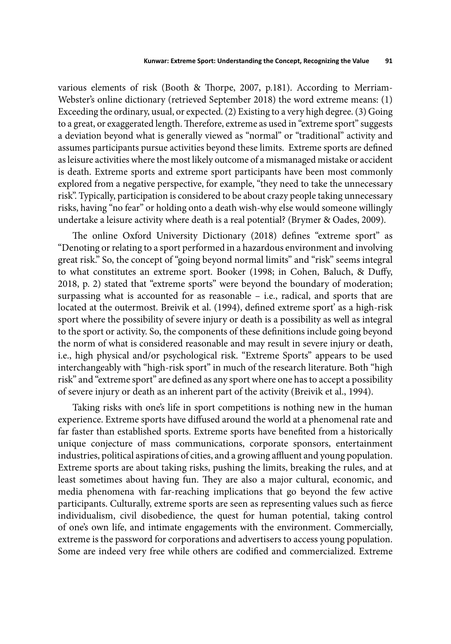various elements of risk (Booth & Thorpe, 2007, p.181). According to Merriam-Webster's online dictionary (retrieved September 2018) the word extreme means: (1) Exceeding the ordinary, usual, or expected. (2) Existing to a very high degree. (3) Going to a great, or exaggerated length. Therefore, extreme as used in "extreme sport" suggests a deviation beyond what is generally viewed as "normal" or "traditional" activity and assumes participants pursue activities beyond these limits. Extreme sports are defined as leisure activities where the most likely outcome of a mismanaged mistake or accident is death. Extreme sports and extreme sport participants have been most commonly explored from a negative perspective, for example, "they need to take the unnecessary risk". Typically, participation is considered to be about crazy people taking unnecessary risks, having "no fear" or holding onto a death wish-why else would someone willingly undertake a leisure activity where death is a real potential? (Brymer & Oades, 2009).

The online Oxford University Dictionary (2018) defines "extreme sport" as "Denoting or relating to a sport performed in a hazardous environment and involving great risk." So, the concept of "going beyond normal limits" and "risk" seems integral to what constitutes an extreme sport. Booker (1998; in Cohen, Baluch, & Duffy, 2018, p. 2) stated that "extreme sports" were beyond the boundary of moderation; surpassing what is accounted for as reasonable – i.e., radical, and sports that are located at the outermost. Breivik et al. (1994), defined extreme sport' as a high-risk sport where the possibility of severe injury or death is a possibility as well as integral to the sport or activity. So, the components of these definitions include going beyond the norm of what is considered reasonable and may result in severe injury or death, i.e., high physical and/or psychological risk. "Extreme Sports" appears to be used interchangeably with "high-risk sport" in much of the research literature. Both "high risk" and "extreme sport" are defined as any sport where one has to accept a possibility of severe injury or death as an inherent part of the activity (Breivik et al., 1994).

Taking risks with one's life in sport competitions is nothing new in the human experience. Extreme sports have diffused around the world at a phenomenal rate and far faster than established sports. Extreme sports have benefited from a historically unique conjecture of mass communications, corporate sponsors, entertainment industries, political aspirations of cities, and a growing affluent and young population. Extreme sports are about taking risks, pushing the limits, breaking the rules, and at least sometimes about having fun. They are also a major cultural, economic, and media phenomena with far-reaching implications that go beyond the few active participants. Culturally, extreme sports are seen as representing values such as fierce individualism, civil disobedience, the quest for human potential, taking control of one's own life, and intimate engagements with the environment. Commercially, extreme is the password for corporations and advertisers to access young population. Some are indeed very free while others are codified and commercialized. Extreme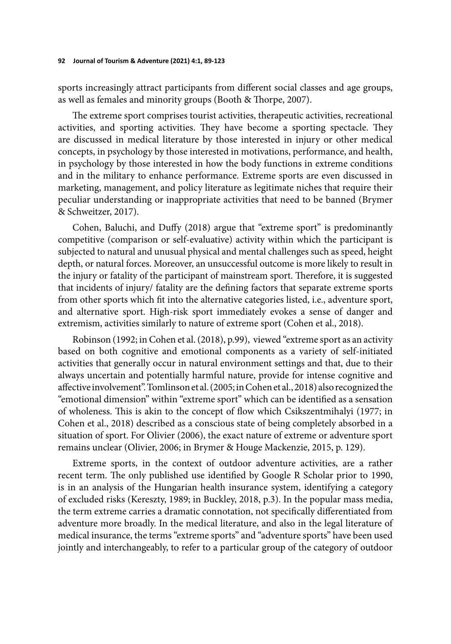sports increasingly attract participants from different social classes and age groups, as well as females and minority groups (Booth & Thorpe, 2007).

The extreme sport comprises tourist activities, therapeutic activities, recreational activities, and sporting activities. They have become a sporting spectacle. They are discussed in medical literature by those interested in injury or other medical concepts, in psychology by those interested in motivations, performance, and health, in psychology by those interested in how the body functions in extreme conditions and in the military to enhance performance. Extreme sports are even discussed in marketing, management, and policy literature as legitimate niches that require their peculiar understanding or inappropriate activities that need to be banned (Brymer & Schweitzer, 2017).

Cohen, Baluchi, and Duffy (2018) argue that "extreme sport" is predominantly competitive (comparison or self-evaluative) activity within which the participant is subjected to natural and unusual physical and mental challenges such as speed, height depth, or natural forces. Moreover, an unsuccessful outcome is more likely to result in the injury or fatality of the participant of mainstream sport. Therefore, it is suggested that incidents of injury/ fatality are the defining factors that separate extreme sports from other sports which fit into the alternative categories listed, i.e., adventure sport, and alternative sport. High-risk sport immediately evokes a sense of danger and extremism, activities similarly to nature of extreme sport (Cohen et al., 2018).

Robinson (1992; in Cohen et al. (2018), p.99), viewed "extreme sport as an activity based on both cognitive and emotional components as a variety of self-initiated activities that generally occur in natural environment settings and that, due to their always uncertain and potentially harmful nature, provide for intense cognitive and affective involvement". Tomlinson et al. (2005; in Cohen et al., 2018) also recognized the "emotional dimension" within "extreme sport" which can be identified as a sensation of wholeness. This is akin to the concept of flow which Csikszentmihalyi (1977; in Cohen et al., 2018) described as a conscious state of being completely absorbed in a situation of sport. For Olivier (2006), the exact nature of extreme or adventure sport remains unclear (Olivier, 2006; in Brymer & Houge Mackenzie, 2015, p. 129).

Extreme sports, in the context of outdoor adventure activities, are a rather recent term. The only published use identified by Google R Scholar prior to 1990, is in an analysis of the Hungarian health insurance system, identifying a category of excluded risks (Kereszty, 1989; in Buckley, 2018, p.3). In the popular mass media, the term extreme carries a dramatic connotation, not specifically differentiated from adventure more broadly. In the medical literature, and also in the legal literature of medical insurance, the terms "extreme sports" and "adventure sports" have been used jointly and interchangeably, to refer to a particular group of the category of outdoor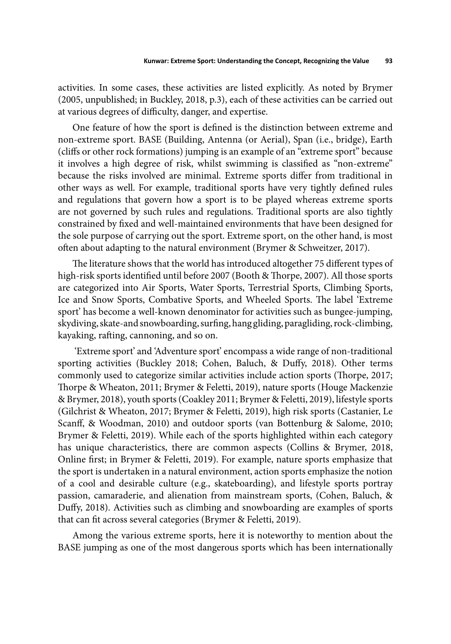activities. In some cases, these activities are listed explicitly. As noted by Brymer (2005, unpublished; in Buckley, 2018, p.3), each of these activities can be carried out at various degrees of difficulty, danger, and expertise.

One feature of how the sport is defined is the distinction between extreme and non-extreme sport. BASE (Building, Antenna (or Aerial), Span (i.e., bridge), Earth (cliffs or other rock formations) jumping is an example of an "extreme sport" because it involves a high degree of risk, whilst swimming is classified as "non-extreme" because the risks involved are minimal. Extreme sports differ from traditional in other ways as well. For example, traditional sports have very tightly defined rules and regulations that govern how a sport is to be played whereas extreme sports are not governed by such rules and regulations. Traditional sports are also tightly constrained by fixed and well-maintained environments that have been designed for the sole purpose of carrying out the sport. Extreme sport, on the other hand, is most often about adapting to the natural environment (Brymer & Schweitzer, 2017).

The literature shows that the world has introduced altogether 75 different types of high-risk sports identified until before 2007 (Booth & Thorpe, 2007). All those sports are categorized into Air Sports, Water Sports, Terrestrial Sports, Climbing Sports, Ice and Snow Sports, Combative Sports, and Wheeled Sports. The label 'Extreme sport' has become a well-known denominator for activities such as bungee-jumping, skydiving, skate-and snowboarding, surfing, hang gliding, paragliding, rock-climbing, kayaking, rafting, cannoning, and so on.

 'Extreme sport' and 'Adventure sport' encompass a wide range of non-traditional sporting activities (Buckley 2018; Cohen, Baluch, & Duffy, 2018). Other terms commonly used to categorize similar activities include action sports (Thorpe, 2017; Thorpe & Wheaton, 2011; Brymer & Feletti, 2019), nature sports (Houge Mackenzie & Brymer, 2018), youth sports (Coakley 2011; Brymer & Feletti, 2019), lifestyle sports (Gilchrist & Wheaton, 2017; Brymer & Feletti, 2019), high risk sports (Castanier, Le Scanff, & Woodman, 2010) and outdoor sports (van Bottenburg & Salome, 2010; Brymer & Feletti, 2019). While each of the sports highlighted within each category has unique characteristics, there are common aspects (Collins & Brymer, 2018, Online first; in Brymer & Feletti, 2019). For example, nature sports emphasize that the sport is undertaken in a natural environment, action sports emphasize the notion of a cool and desirable culture (e.g., skateboarding), and lifestyle sports portray passion, camaraderie, and alienation from mainstream sports, (Cohen, Baluch, & Duffy, 2018). Activities such as climbing and snowboarding are examples of sports that can fit across several categories (Brymer & Feletti, 2019).

Among the various extreme sports, here it is noteworthy to mention about the BASE jumping as one of the most dangerous sports which has been internationally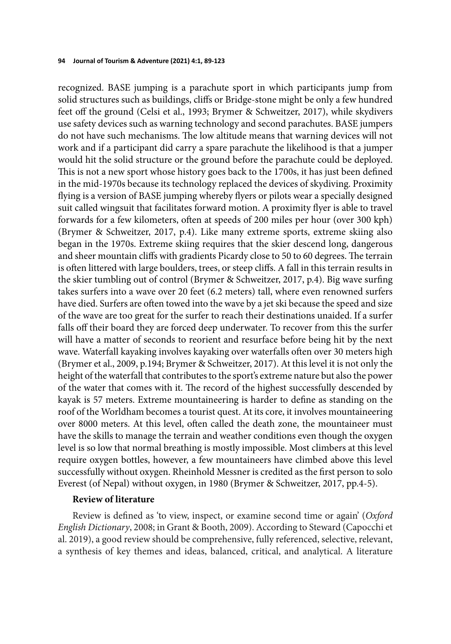recognized. BASE jumping is a parachute sport in which participants jump from solid structures such as buildings, cliffs or Bridge-stone might be only a few hundred feet off the ground (Celsi et al., 1993; Brymer & Schweitzer, 2017), while skydivers use safety devices such as warning technology and second parachutes. BASE jumpers do not have such mechanisms. The low altitude means that warning devices will not work and if a participant did carry a spare parachute the likelihood is that a jumper would hit the solid structure or the ground before the parachute could be deployed. This is not a new sport whose history goes back to the 1700s, it has just been defined in the mid-1970s because its technology replaced the devices of skydiving. Proximity flying is a version of BASE jumping whereby flyers or pilots wear a specially designed suit called wingsuit that facilitates forward motion. A proximity flyer is able to travel forwards for a few kilometers, often at speeds of 200 miles per hour (over 300 kph) (Brymer & Schweitzer, 2017, p.4). Like many extreme sports, extreme skiing also began in the 1970s. Extreme skiing requires that the skier descend long, dangerous and sheer mountain cliffs with gradients Picardy close to 50 to 60 degrees. The terrain is often littered with large boulders, trees, or steep cliffs. A fall in this terrain results in the skier tumbling out of control (Brymer & Schweitzer, 2017, p.4). Big wave surfing takes surfers into a wave over 20 feet (6.2 meters) tall, where even renowned surfers have died. Surfers are often towed into the wave by a jet ski because the speed and size of the wave are too great for the surfer to reach their destinations unaided. If a surfer falls off their board they are forced deep underwater. To recover from this the surfer will have a matter of seconds to reorient and resurface before being hit by the next wave. Waterfall kayaking involves kayaking over waterfalls often over 30 meters high (Brymer et al., 2009, p.194; Brymer & Schweitzer, 2017). At this level it is not only the height of the waterfall that contributes to the sport's extreme nature but also the power of the water that comes with it. The record of the highest successfully descended by kayak is 57 meters. Extreme mountaineering is harder to define as standing on the roof of the Worldham becomes a tourist quest. At its core, it involves mountaineering over 8000 meters. At this level, often called the death zone, the mountaineer must have the skills to manage the terrain and weather conditions even though the oxygen level is so low that normal breathing is mostly impossible. Most climbers at this level require oxygen bottles, however, a few mountaineers have climbed above this level successfully without oxygen. Rheinhold Messner is credited as the first person to solo Everest (of Nepal) without oxygen, in 1980 (Brymer & Schweitzer, 2017, pp.4-5).

## **Review of literature**

Review is defined as 'to view, inspect, or examine second time or again' (*Oxford English Dictionary*, 2008; in Grant & Booth, 2009). According to Steward (Capocchi et al. 2019), a good review should be comprehensive, fully referenced, selective, relevant, a synthesis of key themes and ideas, balanced, critical, and analytical. A literature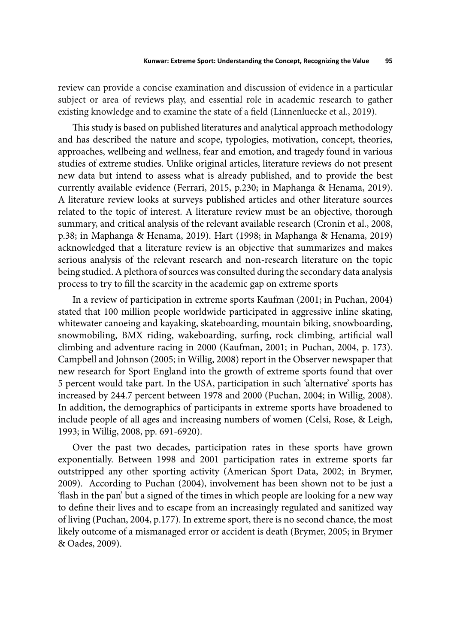review can provide a concise examination and discussion of evidence in a particular subject or area of reviews play, and essential role in academic research to gather existing knowledge and to examine the state of a field (Linnenluecke et al., 2019).

This study is based on published literatures and analytical approach methodology and has described the nature and scope, typologies, motivation, concept, theories, approaches, wellbeing and wellness, fear and emotion, and tragedy found in various studies of extreme studies. Unlike original articles, literature reviews do not present new data but intend to assess what is already published, and to provide the best currently available evidence (Ferrari, 2015, p.230; in Maphanga & Henama, 2019). A literature review looks at surveys published articles and other literature sources related to the topic of interest. A literature review must be an objective, thorough summary, and critical analysis of the relevant available research (Cronin et al., 2008, p.38; in Maphanga & Henama, 2019). Hart (1998; in Maphanga & Henama, 2019) acknowledged that a literature review is an objective that summarizes and makes serious analysis of the relevant research and non-research literature on the topic being studied. A plethora of sources was consulted during the secondary data analysis process to try to fill the scarcity in the academic gap on extreme sports

In a review of participation in extreme sports Kaufman (2001; in Puchan, 2004) stated that 100 million people worldwide participated in aggressive inline skating, whitewater canoeing and kayaking, skateboarding, mountain biking, snowboarding, snowmobiling, BMX riding, wakeboarding, surfing, rock climbing, artificial wall climbing and adventure racing in 2000 (Kaufman, 2001; in Puchan, 2004, p. 173). Campbell and Johnson (2005; in Willig, 2008) report in the Observer newspaper that new research for Sport England into the growth of extreme sports found that over 5 percent would take part. In the USA, participation in such 'alternative' sports has increased by 244.7 percent between 1978 and 2000 (Puchan, 2004; in Willig, 2008). In addition, the demographics of participants in extreme sports have broadened to include people of all ages and increasing numbers of women (Celsi, Rose, & Leigh, 1993; in Willig, 2008, pp. 691-6920).

Over the past two decades, participation rates in these sports have grown exponentially. Between 1998 and 2001 participation rates in extreme sports far outstripped any other sporting activity (American Sport Data, 2002; in Brymer, 2009). According to Puchan (2004), involvement has been shown not to be just a 'flash in the pan' but a signed of the times in which people are looking for a new way to define their lives and to escape from an increasingly regulated and sanitized way of living (Puchan, 2004, p.177). In extreme sport, there is no second chance, the most likely outcome of a mismanaged error or accident is death (Brymer, 2005; in Brymer & Oades, 2009).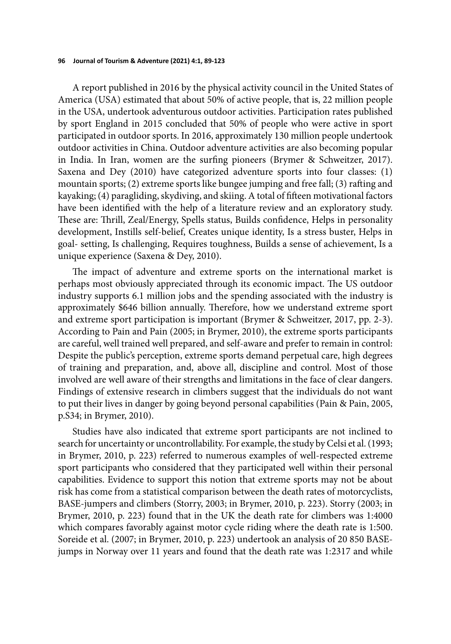A report published in 2016 by the physical activity council in the United States of America (USA) estimated that about 50% of active people, that is, 22 million people in the USA, undertook adventurous outdoor activities. Participation rates published by sport England in 2015 concluded that 50% of people who were active in sport participated in outdoor sports. In 2016, approximately 130 million people undertook outdoor activities in China. Outdoor adventure activities are also becoming popular in India. In Iran, women are the surfing pioneers (Brymer & Schweitzer, 2017). Saxena and Dey (2010) have categorized adventure sports into four classes: (1) mountain sports; (2) extreme sports like bungee jumping and free fall; (3) rafting and kayaking; (4) paragliding, skydiving, and skiing. A total of fifteen motivational factors have been identified with the help of a literature review and an exploratory study. These are: Thrill, Zeal/Energy, Spells status, Builds confidence, Helps in personality development, Instills self-belief, Creates unique identity, Is a stress buster, Helps in goal- setting, Is challenging, Requires toughness, Builds a sense of achievement, Is a unique experience (Saxena & Dey, 2010).

The impact of adventure and extreme sports on the international market is perhaps most obviously appreciated through its economic impact. The US outdoor industry supports 6.1 million jobs and the spending associated with the industry is approximately \$646 billion annually. Therefore, how we understand extreme sport and extreme sport participation is important (Brymer & Schweitzer, 2017, pp. 2-3). According to Pain and Pain (2005; in Brymer, 2010), the extreme sports participants are careful, well trained well prepared, and self-aware and prefer to remain in control: Despite the public's perception, extreme sports demand perpetual care, high degrees of training and preparation, and, above all, discipline and control. Most of those involved are well aware of their strengths and limitations in the face of clear dangers. Findings of extensive research in climbers suggest that the individuals do not want to put their lives in danger by going beyond personal capabilities (Pain & Pain, 2005, p.S34; in Brymer, 2010).

Studies have also indicated that extreme sport participants are not inclined to search for uncertainty or uncontrollability. For example, the study by Celsi et al. (1993; in Brymer, 2010, p. 223) referred to numerous examples of well-respected extreme sport participants who considered that they participated well within their personal capabilities. Evidence to support this notion that extreme sports may not be about risk has come from a statistical comparison between the death rates of motorcyclists, BASE-jumpers and climbers (Storry, 2003; in Brymer, 2010, p. 223). Storry (2003; in Brymer, 2010, p. 223) found that in the UK the death rate for climbers was 1:4000 which compares favorably against motor cycle riding where the death rate is 1:500. Soreide et al. (2007; in Brymer, 2010, p. 223) undertook an analysis of 20 850 BASEjumps in Norway over 11 years and found that the death rate was 1:2317 and while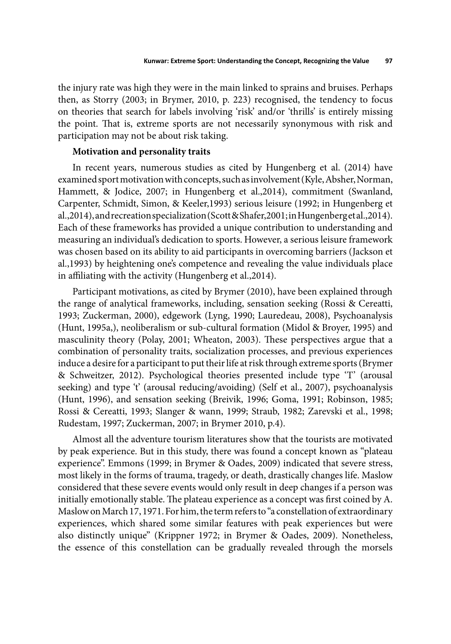the injury rate was high they were in the main linked to sprains and bruises. Perhaps then, as Storry (2003; in Brymer, 2010, p. 223) recognised, the tendency to focus on theories that search for labels involving 'risk' and/or 'thrills' is entirely missing the point. That is, extreme sports are not necessarily synonymous with risk and participation may not be about risk taking.

# **Motivation and personality traits**

In recent years, numerous studies as cited by Hungenberg et al. (2014) have examined sport motivation with concepts, such as involvement (Kyle, Absher, Norman, Hammett, & Jodice, 2007; in Hungenberg et al.,2014), commitment (Swanland, Carpenter, Schmidt, Simon, & Keeler,1993) serious leisure (1992; in Hungenberg et al.,2014), and recreation specialization (Scott & Shafer,2001; in Hungenberg et al.,2014). Each of these frameworks has provided a unique contribution to understanding and measuring an individual's dedication to sports. However, a serious leisure framework was chosen based on its ability to aid participants in overcoming barriers (Jackson et al.,1993) by heightening one's competence and revealing the value individuals place in affiliating with the activity (Hungenberg et al., 2014).

Participant motivations, as cited by Brymer (2010), have been explained through the range of analytical frameworks, including, sensation seeking (Rossi & Cereatti, 1993; Zuckerman, 2000), edgework (Lyng, 1990; Lauredeau, 2008), Psychoanalysis (Hunt, 1995a,), neoliberalism or sub-cultural formation (Midol & Broyer, 1995) and masculinity theory (Polay, 2001; Wheaton, 2003). These perspectives argue that a combination of personality traits, socialization processes, and previous experiences induce a desire for a participant to put their life at risk through extreme sports (Brymer & Schweitzer, 2012). Psychological theories presented include type 'T' (arousal seeking) and type 't' (arousal reducing/avoiding) (Self et al., 2007), psychoanalysis (Hunt, 1996), and sensation seeking (Breivik, 1996; Goma, 1991; Robinson, 1985; Rossi & Cereatti, 1993; Slanger & wann, 1999; Straub, 1982; Zarevski et al., 1998; Rudestam, 1997; Zuckerman, 2007; in Brymer 2010, p.4).

Almost all the adventure tourism literatures show that the tourists are motivated by peak experience. But in this study, there was found a concept known as "plateau experience". Emmons (1999; in Brymer & Oades, 2009) indicated that severe stress, most likely in the forms of trauma, tragedy, or death, drastically changes life. Maslow considered that these severe events would only result in deep changes if a person was initially emotionally stable. The plateau experience as a concept was first coined by A. Maslow on March 17, 1971. For him, the term refers to "a constellation of extraordinary experiences, which shared some similar features with peak experiences but were also distinctly unique" (Krippner 1972; in Brymer & Oades, 2009). Nonetheless, the essence of this constellation can be gradually revealed through the morsels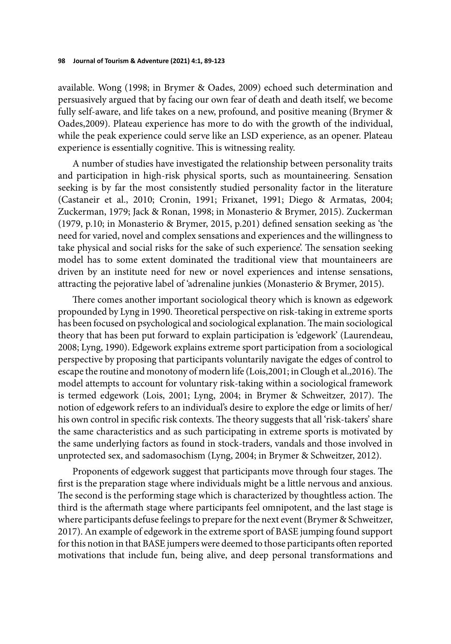available. Wong (1998; in Brymer & Oades, 2009) echoed such determination and persuasively argued that by facing our own fear of death and death itself, we become fully self-aware, and life takes on a new, profound, and positive meaning (Brymer & Oades,2009). Plateau experience has more to do with the growth of the individual, while the peak experience could serve like an LSD experience, as an opener. Plateau experience is essentially cognitive. This is witnessing reality.

A number of studies have investigated the relationship between personality traits and participation in high-risk physical sports, such as mountaineering. Sensation seeking is by far the most consistently studied personality factor in the literature (Castaneir et al., 2010; Cronin, 1991; Frixanet, 1991; Diego & Armatas, 2004; Zuckerman, 1979; Jack & Ronan, 1998; in Monasterio & Brymer, 2015). Zuckerman (1979, p.10; in Monasterio & Brymer, 2015, p.201) defined sensation seeking as 'the need for varied, novel and complex sensations and experiences and the willingness to take physical and social risks for the sake of such experience'. The sensation seeking model has to some extent dominated the traditional view that mountaineers are driven by an institute need for new or novel experiences and intense sensations, attracting the pejorative label of 'adrenaline junkies (Monasterio & Brymer, 2015).

There comes another important sociological theory which is known as edgework propounded by Lyng in 1990. Theoretical perspective on risk-taking in extreme sports has been focused on psychological and sociological explanation. The main sociological theory that has been put forward to explain participation is 'edgework' (Laurendeau, 2008; Lyng, 1990). Edgework explains extreme sport participation from a sociological perspective by proposing that participants voluntarily navigate the edges of control to escape the routine and monotony of modern life (Lois, 2001; in Clough et al., 2016). The model attempts to account for voluntary risk-taking within a sociological framework is termed edgework (Lois, 2001; Lyng, 2004; in Brymer & Schweitzer, 2017). The notion of edgework refers to an individual's desire to explore the edge or limits of her/ his own control in specific risk contexts. The theory suggests that all 'risk-takers' share the same characteristics and as such participating in extreme sports is motivated by the same underlying factors as found in stock-traders, vandals and those involved in unprotected sex, and sadomasochism (Lyng, 2004; in Brymer & Schweitzer, 2012).

Proponents of edgework suggest that participants move through four stages. The first is the preparation stage where individuals might be a little nervous and anxious. The second is the performing stage which is characterized by thoughtless action. The third is the aftermath stage where participants feel omnipotent, and the last stage is where participants defuse feelings to prepare for the next event (Brymer & Schweitzer, 2017). An example of edgework in the extreme sport of BASE jumping found support for this notion in that BASE jumpers were deemed to those participants often reported motivations that include fun, being alive, and deep personal transformations and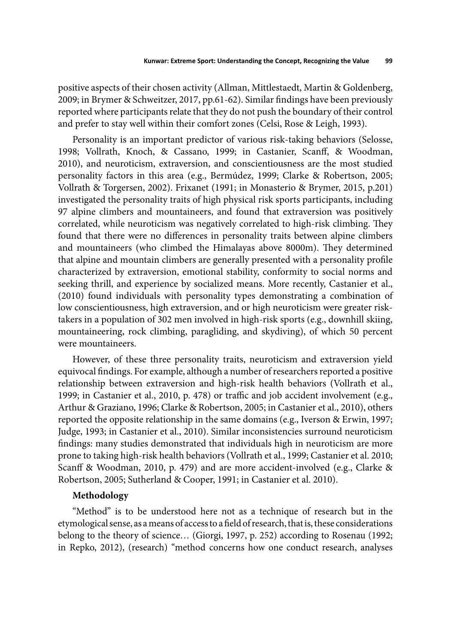positive aspects of their chosen activity (Allman, Mittlestaedt, Martin & Goldenberg, 2009; in Brymer & Schweitzer, 2017, pp.61-62). Similar findings have been previously reported where participants relate that they do not push the boundary of their control and prefer to stay well within their comfort zones (Celsi, Rose & Leigh, 1993).

Personality is an important predictor of various risk-taking behaviors (Selosse, 1998; Vollrath, Knoch, & Cassano, 1999; in Castanier, Scanff, & Woodman, 2010), and neuroticism, extraversion, and conscientiousness are the most studied personality factors in this area (e.g., Bermúdez, 1999; Clarke & Robertson, 2005; Vollrath & Torgersen, 2002). Frixanet (1991; in Monasterio & Brymer, 2015, p.201) investigated the personality traits of high physical risk sports participants, including 97 alpine climbers and mountaineers, and found that extraversion was positively correlated, while neuroticism was negatively correlated to high-risk climbing. They found that there were no differences in personality traits between alpine climbers and mountaineers (who climbed the Himalayas above 8000m). They determined that alpine and mountain climbers are generally presented with a personality profile characterized by extraversion, emotional stability, conformity to social norms and seeking thrill, and experience by socialized means. More recently, Castanier et al., (2010) found individuals with personality types demonstrating a combination of low conscientiousness, high extraversion, and or high neuroticism were greater risktakers in a population of 302 men involved in high-risk sports (e.g., downhill skiing, mountaineering, rock climbing, paragliding, and skydiving), of which 50 percent were mountaineers.

However, of these three personality traits, neuroticism and extraversion yield equivocal findings. For example, although a number of researchers reported a positive relationship between extraversion and high-risk health behaviors (Vollrath et al., 1999; in Castanier et al., 2010, p. 478) or traffic and job accident involvement (e.g., Arthur & Graziano, 1996; Clarke & Robertson, 2005; in Castanier et al., 2010), others reported the opposite relationship in the same domains (e.g., Iverson & Erwin, 1997; Judge, 1993; in Castanier et al., 2010). Similar inconsistencies surround neuroticism findings: many studies demonstrated that individuals high in neuroticism are more prone to taking high-risk health behaviors (Vollrath et al., 1999; Castanier et al. 2010; Scanff & Woodman, 2010, p. 479) and are more accident-involved (e.g., Clarke & Robertson, 2005; Sutherland & Cooper, 1991; in Castanier et al. 2010).

### **Methodology**

"Method" is to be understood here not as a technique of research but in the etymological sense, as a means of access to a field of research, that is, these considerations belong to the theory of science… (Giorgi, 1997, p. 252) according to Rosenau (1992; in Repko, 2012), (research) "method concerns how one conduct research, analyses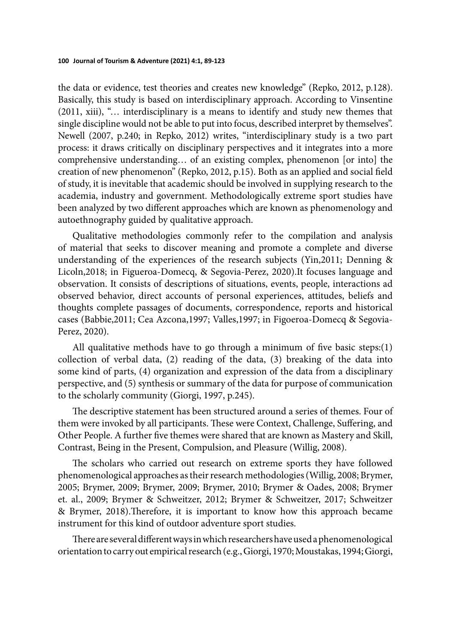the data or evidence, test theories and creates new knowledge" (Repko, 2012, p.128). Basically, this study is based on interdisciplinary approach. According to Vinsentine (2011, xiii), "… interdisciplinary is a means to identify and study new themes that single discipline would not be able to put into focus, described interpret by themselves". Newell (2007, p.240; in Repko, 2012) writes, "interdisciplinary study is a two part process: it draws critically on disciplinary perspectives and it integrates into a more comprehensive understanding… of an existing complex, phenomenon [or into] the creation of new phenomenon" (Repko, 2012, p.15). Both as an applied and social field of study, it is inevitable that academic should be involved in supplying research to the academia, industry and government. Methodologically extreme sport studies have been analyzed by two different approaches which are known as phenomenology and autoethnography guided by qualitative approach.

Qualitative methodologies commonly refer to the compilation and analysis of material that seeks to discover meaning and promote a complete and diverse understanding of the experiences of the research subjects (Yin,2011; Denning & Licoln,2018; in Figueroa-Domecq, & Segovia-Perez, 2020).It focuses language and observation. It consists of descriptions of situations, events, people, interactions ad observed behavior, direct accounts of personal experiences, attitudes, beliefs and thoughts complete passages of documents, correspondence, reports and historical cases (Babbie,2011; Cea Azcona,1997; Valles,1997; in Figoeroa-Domecq & Segovia-Perez, 2020).

All qualitative methods have to go through a minimum of five basic steps: $(1)$ collection of verbal data, (2) reading of the data, (3) breaking of the data into some kind of parts, (4) organization and expression of the data from a disciplinary perspective, and (5) synthesis or summary of the data for purpose of communication to the scholarly community (Giorgi, 1997, p.245).

The descriptive statement has been structured around a series of themes. Four of them were invoked by all participants. These were Context, Challenge, Suffering, and Other People. A further five themes were shared that are known as Mastery and Skill, Contrast, Being in the Present, Compulsion, and Pleasure (Willig, 2008).

The scholars who carried out research on extreme sports they have followed phenomenological approaches as their research methodologies (Willig, 2008; Brymer, 2005; Brymer, 2009; Brymer, 2009; Brymer, 2010; Brymer & Oades, 2008; Brymer et. al., 2009; Brymer & Schweitzer, 2012; Brymer & Schweitzer, 2017; Schweitzer & Brymer, 2018). Therefore, it is important to know how this approach became instrument for this kind of outdoor adventure sport studies.

There are several different ways in which researchers have used a phenomenological orientation to carry out empirical research (e.g., Giorgi, 1970; Moustakas, 1994; Giorgi,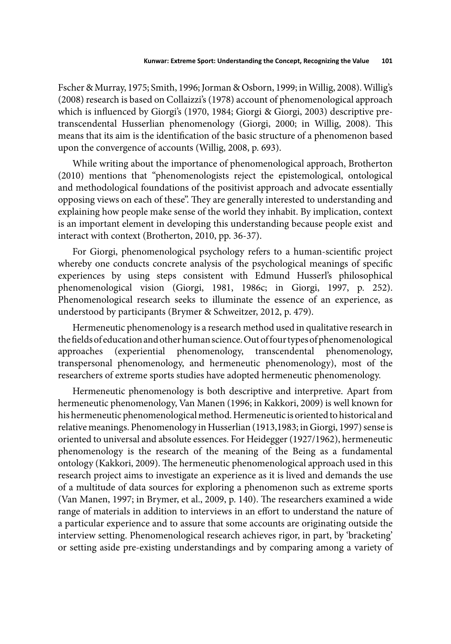Fscher & Murray, 1975; Smith, 1996; Jorman & Osborn, 1999; in Willig, 2008). Willig's (2008) research is based on Collaizzi's (1978) account of phenomenological approach which is influenced by Giorgi's (1970, 1984; Giorgi & Giorgi, 2003) descriptive pretranscendental Husserlian phenomenology (Giorgi, 2000; in Willig, 2008). This means that its aim is the identification of the basic structure of a phenomenon based upon the convergence of accounts (Willig, 2008, p. 693).

While writing about the importance of phenomenological approach, Brotherton (2010) mentions that "phenomenologists reject the epistemological, ontological and methodological foundations of the positivist approach and advocate essentially opposing views on each of these". They are generally interested to understanding and explaining how people make sense of the world they inhabit. By implication, context is an important element in developing this understanding because people exist and interact with context (Brotherton, 2010, pp. 36-37).

For Giorgi, phenomenological psychology refers to a human-scientific project whereby one conducts concrete analysis of the psychological meanings of specific experiences by using steps consistent with Edmund Husserl's philosophical phenomenological vision (Giorgi, 1981, 1986c; in Giorgi, 1997, p. 252). Phenomenological research seeks to illuminate the essence of an experience, as understood by participants (Brymer & Schweitzer, 2012, p. 479).

Hermeneutic phenomenology is a research method used in qualitative research in the fields of education and other human science. Out of four types of phenomenological approaches (experiential phenomenology, transcendental phenomenology, transpersonal phenomenology, and hermeneutic phenomenology), most of the researchers of extreme sports studies have adopted hermeneutic phenomenology.

Hermeneutic phenomenology is both descriptive and interpretive. Apart from hermeneutic phenomenology, Van Manen (1996; in Kakkori, 2009) is well known for his hermeneutic phenomenological method. Hermeneutic is oriented to historical and relative meanings. Phenomenology in Husserlian (1913,1983; in Giorgi, 1997) sense is oriented to universal and absolute essences. For Heidegger (1927/1962), hermeneutic phenomenology is the research of the meaning of the Being as a fundamental ontology (Kakkori, 2009). The hermeneutic phenomenological approach used in this research project aims to investigate an experience as it is lived and demands the use of a multitude of data sources for exploring a phenomenon such as extreme sports (Van Manen, 1997; in Brymer, et al., 2009, p. 140). The researchers examined a wide range of materials in addition to interviews in an effort to understand the nature of a particular experience and to assure that some accounts are originating outside the interview setting. Phenomenological research achieves rigor, in part, by 'bracketing' or setting aside pre-existing understandings and by comparing among a variety of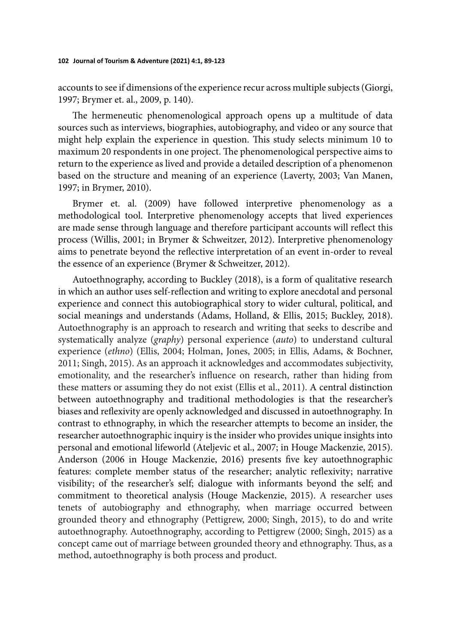accounts to see if dimensions of the experience recur across multiple subjects (Giorgi, 1997; Brymer et. al., 2009, p. 140).

The hermeneutic phenomenological approach opens up a multitude of data sources such as interviews, biographies, autobiography, and video or any source that might help explain the experience in question. This study selects minimum 10 to maximum 20 respondents in one project. The phenomenological perspective aims to return to the experience as lived and provide a detailed description of a phenomenon based on the structure and meaning of an experience (Laverty, 2003; Van Manen, 1997; in Brymer, 2010).

Brymer et. al. (2009) have followed interpretive phenomenology as a methodological tool. Interpretive phenomenology accepts that lived experiences are made sense through language and therefore participant accounts will reflect this process (Willis, 2001; in Brymer & Schweitzer, 2012). Interpretive phenomenology aims to penetrate beyond the reflective interpretation of an event in-order to reveal the essence of an experience (Brymer & Schweitzer, 2012).

Autoethnography, according to Buckley (2018), is a form of qualitative research in which an author uses self-reflection and writing to explore anecdotal and personal experience and connect this autobiographical story to wider cultural, political, and social meanings and understands (Adams, Holland, & Ellis, 2015; Buckley, 2018). Autoethnography is an approach to research and writing that seeks to describe and systematically analyze (*graphy*) personal experience (*auto*) to understand cultural experience (*ethno*) (Ellis, 2004; Holman, Jones, 2005; in Ellis, Adams, & Bochner, 2011; Singh, 2015). As an approach it acknowledges and accommodates subjectivity, emotionality, and the researcher's influence on research, rather than hiding from these matters or assuming they do not exist (Ellis et al., 2011). A central distinction between autoethnography and traditional methodologies is that the researcher's biases and reflexivity are openly acknowledged and discussed in autoethnography. In contrast to ethnography, in which the researcher attempts to become an insider, the researcher autoethnographic inquiry is the insider who provides unique insights into personal and emotional lifeworld (Ateljevic et al., 2007; in Houge Mackenzie, 2015). Anderson (2006 in Houge Mackenzie, 2016) presents five key autoethnographic features: complete member status of the researcher; analytic reflexivity; narrative visibility; of the researcher's self; dialogue with informants beyond the self; and commitment to theoretical analysis (Houge Mackenzie, 2015). A researcher uses tenets of autobiography and ethnography, when marriage occurred between grounded theory and ethnography (Pettigrew, 2000; Singh, 2015), to do and write autoethnography. Autoethnography, according to Pettigrew (2000; Singh, 2015) as a concept came out of marriage between grounded theory and ethnography. Thus, as a method, autoethnography is both process and product.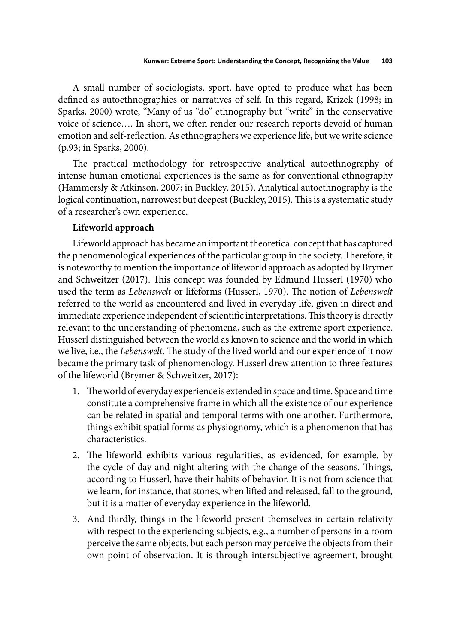A small number of sociologists, sport, have opted to produce what has been defined as autoethnographies or narratives of self. In this regard, Krizek (1998; in Sparks, 2000) wrote, "Many of us "do" ethnography but "write" in the conservative voice of science.... In short, we often render our research reports devoid of human emotion and self-reflection. As ethnographers we experience life, but we write science (p.93; in Sparks, 2000).

The practical methodology for retrospective analytical autoethnography of intense human emotional experiences is the same as for conventional ethnography (Hammersly & Atkinson, 2007; in Buckley, 2015). Analytical autoethnography is the logical continuation, narrowest but deepest (Buckley, 2015). This is a systematic study of a researcher's own experience.

# **Lifeworld approach**

Lifeworld approach has became an important theoretical concept that has captured the phenomenological experiences of the particular group in the society. Therefore, it is noteworthy to mention the importance of lifeworld approach as adopted by Brymer and Schweitzer (2017). This concept was founded by Edmund Husserl (1970) who used the term as *Lebenswelt* or lifeforms (Husserl, 1970). The notion of *Lebenswelt* referred to the world as encountered and lived in everyday life, given in direct and immediate experience independent of scientific interpretations. This theory is directly relevant to the understanding of phenomena, such as the extreme sport experience. Husserl distinguished between the world as known to science and the world in which we live, i.e., the *Lebenswelt*. The study of the lived world and our experience of it now became the primary task of phenomenology. Husserl drew attention to three features of the lifeworld (Brymer & Schweitzer, 2017):

- 1. The world of everyday experience is extended in space and time. Space and time constitute a comprehensive frame in which all the existence of our experience can be related in spatial and temporal terms with one another. Furthermore, things exhibit spatial forms as physiognomy, which is a phenomenon that has characteristics.
- 2. The lifeworld exhibits various regularities, as evidenced, for example, by the cycle of day and night altering with the change of the seasons. Things, according to Husserl, have their habits of behavior. It is not from science that we learn, for instance, that stones, when lifted and released, fall to the ground, but it is a matter of everyday experience in the lifeworld.
- 3. And thirdly, things in the lifeworld present themselves in certain relativity with respect to the experiencing subjects, e.g., a number of persons in a room perceive the same objects, but each person may perceive the objects from their own point of observation. It is through intersubjective agreement, brought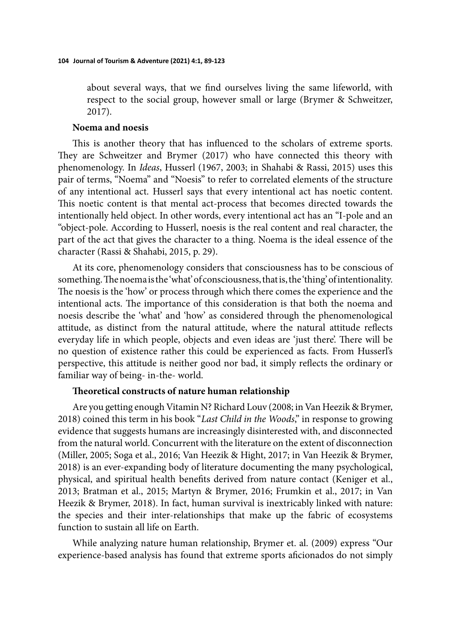about several ways, that we find ourselves living the same lifeworld, with respect to the social group, however small or large (Brymer & Schweitzer, 2017).

### **Noema and noesis**

This is another theory that has influenced to the scholars of extreme sports. They are Schweitzer and Brymer (2017) who have connected this theory with phenomenology. In *Ideas*, Husserl (1967, 2003; in Shahabi & Rassi, 2015) uses this pair of terms, "Noema" and "Noesis" to refer to correlated elements of the structure of any intentional act. Husserl says that every intentional act has noetic content. This noetic content is that mental act-process that becomes directed towards the intentionally held object. In other words, every intentional act has an "I-pole and an "object-pole. According to Husserl, noesis is the real content and real character, the part of the act that gives the character to a thing. Noema is the ideal essence of the character (Rassi & Shahabi, 2015, p. 29).

At its core, phenomenology considers that consciousness has to be conscious of something. The noema is the 'what' of consciousness, that is, the 'thing' of intentionality. The noesis is the 'how' or process through which there comes the experience and the intentional acts. The importance of this consideration is that both the noema and noesis describe the 'what' and 'how' as considered through the phenomenological attitude, as distinct from the natural attitude, where the natural attitude reflects everyday life in which people, objects and even ideas are 'just there'. There will be no question of existence rather this could be experienced as facts. From Husserl's perspective, this attitude is neither good nor bad, it simply reflects the ordinary or familiar way of being- in-the- world.

### **Theoretical constructs of nature human relationship**

Are you getting enough Vitamin N? Richard Louv (2008; in Van Heezik & Brymer, 2018) coined this term in his book "*Last Child in the Woods*," in response to growing evidence that suggests humans are increasingly disinterested with, and disconnected from the natural world. Concurrent with the literature on the extent of disconnection (Miller, 2005; Soga et al., 2016; Van Heezik & Hight, 2017; in Van Heezik & Brymer, 2018) is an ever-expanding body of literature documenting the many psychological, physical, and spiritual health benefits derived from nature contact (Keniger et al., 2013; Bratman et al., 2015; Martyn & Brymer, 2016; Frumkin et al., 2017; in Van Heezik & Brymer, 2018). In fact, human survival is inextricably linked with nature: the species and their inter-relationships that make up the fabric of ecosystems function to sustain all life on Earth.

While analyzing nature human relationship, Brymer et. al. (2009) express "Our experience-based analysis has found that extreme sports aficionados do not simply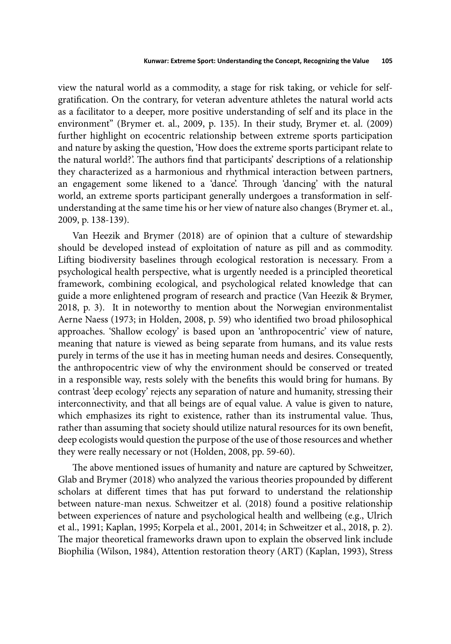view the natural world as a commodity, a stage for risk taking, or vehicle for selfgratification. On the contrary, for veteran adventure athletes the natural world acts as a facilitator to a deeper, more positive understanding of self and its place in the environment" (Brymer et. al., 2009, p. 135). In their study, Brymer et. al. (2009) further highlight on ecocentric relationship between extreme sports participation and nature by asking the question, 'How does the extreme sports participant relate to the natural world?'. The authors find that participants' descriptions of a relationship they characterized as a harmonious and rhythmical interaction between partners, an engagement some likened to a 'dance'. Through 'dancing' with the natural world, an extreme sports participant generally undergoes a transformation in selfunderstanding at the same time his or her view of nature also changes (Brymer et. al., 2009, p. 138-139).

Van Heezik and Brymer (2018) are of opinion that a culture of stewardship should be developed instead of exploitation of nature as pill and as commodity. Lifting biodiversity baselines through ecological restoration is necessary. From a psychological health perspective, what is urgently needed is a principled theoretical framework, combining ecological, and psychological related knowledge that can guide a more enlightened program of research and practice (Van Heezik & Brymer, 2018, p. 3). It in noteworthy to mention about the Norwegian environmentalist Aerne Naess (1973; in Holden, 2008, p. 59) who identified two broad philosophical approaches. 'Shallow ecology' is based upon an 'anthropocentric' view of nature, meaning that nature is viewed as being separate from humans, and its value rests purely in terms of the use it has in meeting human needs and desires. Consequently, the anthropocentric view of why the environment should be conserved or treated in a responsible way, rests solely with the benefits this would bring for humans. By contrast 'deep ecology' rejects any separation of nature and humanity, stressing their interconnectivity, and that all beings are of equal value. A value is given to nature, which emphasizes its right to existence, rather than its instrumental value. Thus, rather than assuming that society should utilize natural resources for its own benefit, deep ecologists would question the purpose of the use of those resources and whether they were really necessary or not (Holden, 2008, pp. 59-60).

The above mentioned issues of humanity and nature are captured by Schweitzer, Glab and Brymer (2018) who analyzed the various theories propounded by different scholars at different times that has put forward to understand the relationship between nature-man nexus. Schweitzer et al. (2018) found a positive relationship between experiences of nature and psychological health and wellbeing (e.g., Ulrich et al., 1991; Kaplan, 1995; Korpela et al., 2001, 2014; in Schweitzer et al., 2018, p. 2). The major theoretical frameworks drawn upon to explain the observed link include Biophilia (Wilson, 1984), Attention restoration theory (ART) (Kaplan, 1993), Stress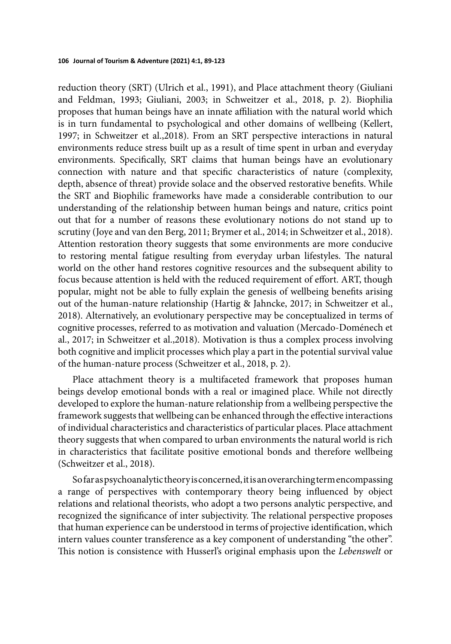reduction theory (SRT) (Ulrich et al., 1991), and Place attachment theory (Giuliani and Feldman, 1993; Giuliani, 2003; in Schweitzer et al., 2018, p. 2). Biophilia proposes that human beings have an innate affiliation with the natural world which is in turn fundamental to psychological and other domains of wellbeing (Kellert, 1997; in Schweitzer et al.,2018). From an SRT perspective interactions in natural environments reduce stress built up as a result of time spent in urban and everyday environments. Specifically, SRT claims that human beings have an evolutionary connection with nature and that specific characteristics of nature (complexity, depth, absence of threat) provide solace and the observed restorative benefits. While the SRT and Biophilic frameworks have made a considerable contribution to our understanding of the relationship between human beings and nature, critics point out that for a number of reasons these evolutionary notions do not stand up to scrutiny (Joye and van den Berg, 2011; Brymer et al., 2014; in Schweitzer et al., 2018). Attention restoration theory suggests that some environments are more conducive to restoring mental fatigue resulting from everyday urban lifestyles. The natural world on the other hand restores cognitive resources and the subsequent ability to focus because attention is held with the reduced requirement of effort. ART, though popular, might not be able to fully explain the genesis of wellbeing benefits arising out of the human-nature relationship (Hartig & Jahncke, 2017; in Schweitzer et al., 2018). Alternatively, an evolutionary perspective may be conceptualized in terms of cognitive processes, referred to as motivation and valuation (Mercado-Doménech et al., 2017; in Schweitzer et al.,2018). Motivation is thus a complex process involving both cognitive and implicit processes which play a part in the potential survival value of the human-nature process (Schweitzer et al., 2018, p. 2).

Place attachment theory is a multifaceted framework that proposes human beings develop emotional bonds with a real or imagined place. While not directly developed to explore the human-nature relationship from a wellbeing perspective the framework suggests that wellbeing can be enhanced through the effective interactions of individual characteristics and characteristics of particular places. Place attachment theory suggests that when compared to urban environments the natural world is rich in characteristics that facilitate positive emotional bonds and therefore wellbeing (Schweitzer et al., 2018).

So far as psychoanalytic theory is concerned, it is an overarching term encompassing a range of perspectives with contemporary theory being influenced by object relations and relational theorists, who adopt a two persons analytic perspective, and recognized the significance of inter subjectivity. The relational perspective proposes that human experience can be understood in terms of projective identification, which intern values counter transference as a key component of understanding "the other". This notion is consistence with Husserl's original emphasis upon the *Lebenswelt* or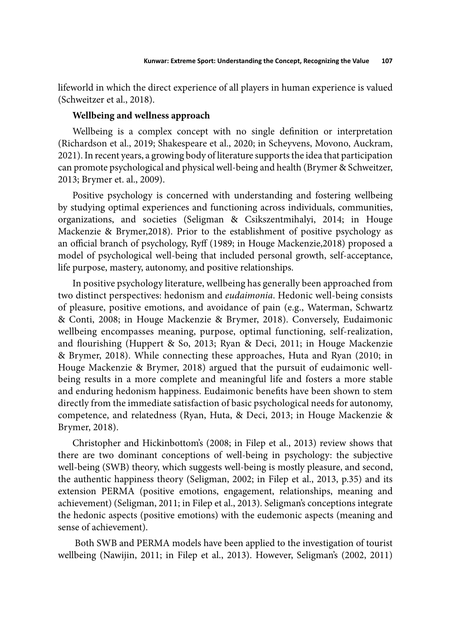lifeworld in which the direct experience of all players in human experience is valued (Schweitzer et al., 2018).

### **Wellbeing and wellness approach**

Wellbeing is a complex concept with no single definition or interpretation (Richardson et al., 2019; Shakespeare et al., 2020; in Scheyvens, Movono, Auckram, 2021). In recent years, a growing body of literature supports the idea that participation can promote psychological and physical well-being and health (Brymer & Schweitzer, 2013; Brymer et. al., 2009).

Positive psychology is concerned with understanding and fostering wellbeing by studying optimal experiences and functioning across individuals, communities, organizations, and societies (Seligman & Csikszentmihalyi, 2014; in Houge Mackenzie & Brymer,2018). Prior to the establishment of positive psychology as an official branch of psychology, Ryff (1989; in Houge Mackenzie, 2018) proposed a model of psychological well-being that included personal growth, self-acceptance, life purpose, mastery, autonomy, and positive relationships.

In positive psychology literature, wellbeing has generally been approached from two distinct perspectives: hedonism and *eudaimonia*. Hedonic well-being consists of pleasure, positive emotions, and avoidance of pain (e.g., Waterman, Schwartz & Conti, 2008; in Houge Mackenzie & Brymer, 2018). Conversely, Eudaimonic wellbeing encompasses meaning, purpose, optimal functioning, self-realization, and flourishing (Huppert & So, 2013; Ryan & Deci, 2011; in Houge Mackenzie & Brymer, 2018). While connecting these approaches, Huta and Ryan (2010; in Houge Mackenzie & Brymer, 2018) argued that the pursuit of eudaimonic wellbeing results in a more complete and meaningful life and fosters a more stable and enduring hedonism happiness. Eudaimonic benefits have been shown to stem directly from the immediate satisfaction of basic psychological needs for autonomy, competence, and relatedness (Ryan, Huta, & Deci, 2013; in Houge Mackenzie & Brymer, 2018).

Christopher and Hickinbottom's (2008; in Filep et al., 2013) review shows that there are two dominant conceptions of well-being in psychology: the subjective well-being (SWB) theory, which suggests well-being is mostly pleasure, and second, the authentic happiness theory (Seligman, 2002; in Filep et al., 2013, p.35) and its extension PERMA (positive emotions, engagement, relationships, meaning and achievement) (Seligman, 2011; in Filep et al., 2013). Seligman's conceptions integrate the hedonic aspects (positive emotions) with the eudemonic aspects (meaning and sense of achievement).

 Both SWB and PERMA models have been applied to the investigation of tourist wellbeing (Nawijin, 2011; in Filep et al., 2013). However, Seligman's (2002, 2011)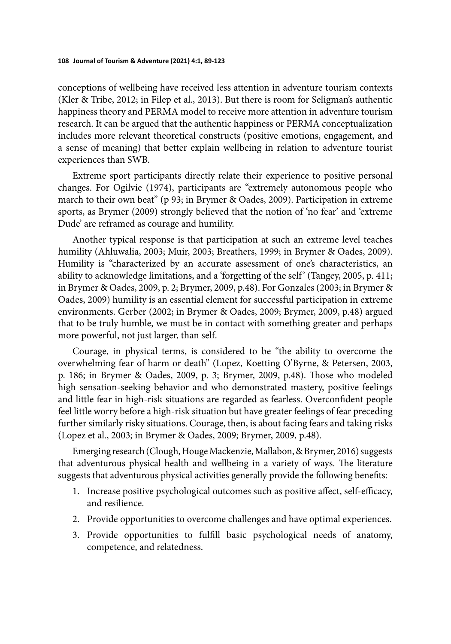conceptions of wellbeing have received less attention in adventure tourism contexts (Kler & Tribe, 2012; in Filep et al., 2013). But there is room for Seligman's authentic happiness theory and PERMA model to receive more attention in adventure tourism research. It can be argued that the authentic happiness or PERMA conceptualization includes more relevant theoretical constructs (positive emotions, engagement, and a sense of meaning) that better explain wellbeing in relation to adventure tourist experiences than SWB.

Extreme sport participants directly relate their experience to positive personal changes. For Ogilvie (1974), participants are "extremely autonomous people who march to their own beat" (p 93; in Brymer & Oades, 2009). Participation in extreme sports, as Brymer (2009) strongly believed that the notion of 'no fear' and 'extreme Dude' are reframed as courage and humility.

Another typical response is that participation at such an extreme level teaches humility (Ahluwalia, 2003; Muir, 2003; Breathers, 1999; in Brymer & Oades, 2009). Humility is "characterized by an accurate assessment of one's characteristics, an ability to acknowledge limitations, and a 'forgetting of the self' (Tangey, 2005, p. 411; in Brymer & Oades, 2009, p. 2; Brymer, 2009, p.48). For Gonzales (2003; in Brymer & Oades, 2009) humility is an essential element for successful participation in extreme environments. Gerber (2002; in Brymer & Oades, 2009; Brymer, 2009, p.48) argued that to be truly humble, we must be in contact with something greater and perhaps more powerful, not just larger, than self.

Courage, in physical terms, is considered to be "the ability to overcome the overwhelming fear of harm or death" (Lopez, Koetting O'Byrne, & Petersen, 2003, p. 186; in Brymer & Oades, 2009, p. 3; Brymer, 2009, p.48). Those who modeled high sensation-seeking behavior and who demonstrated mastery, positive feelings and little fear in high-risk situations are regarded as fearless. Overconfident people feel little worry before a high-risk situation but have greater feelings of fear preceding further similarly risky situations. Courage, then, is about facing fears and taking risks (Lopez et al., 2003; in Brymer & Oades, 2009; Brymer, 2009, p.48).

Emerging research (Clough, Houge Mackenzie, Mallabon, & Brymer, 2016) suggests that adventurous physical health and wellbeing in a variety of ways. The literature suggests that adventurous physical activities generally provide the following benefits:

- 1. Increase positive psychological outcomes such as positive affect, self-efficacy, and resilience.
- 2. Provide opportunities to overcome challenges and have optimal experiences.
- 3. Provide opportunities to fulfill basic psychological needs of anatomy, competence, and relatedness.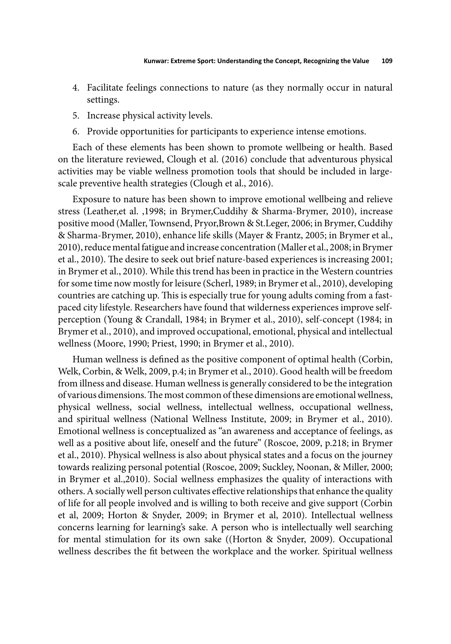- 4. Facilitate feelings connections to nature (as they normally occur in natural settings.
- 5. Increase physical activity levels.
- 6. Provide opportunities for participants to experience intense emotions.

Each of these elements has been shown to promote wellbeing or health. Based on the literature reviewed, Clough et al. (2016) conclude that adventurous physical activities may be viable wellness promotion tools that should be included in largescale preventive health strategies (Clough et al., 2016).

Exposure to nature has been shown to improve emotional wellbeing and relieve stress (Leather,et al. ,1998; in Brymer,Cuddihy & Sharma-Brymer, 2010), increase positive mood (Maller, Townsend, Pryor,Brown & St.Leger, 2006; in Brymer, Cuddihy & Sharma-Brymer, 2010), enhance life skills (Mayer & Frantz, 2005; in Brymer et al., 2010), reduce mental fatigue and increase concentration (Maller et al., 2008; in Brymer et al., 2010). The desire to seek out brief nature-based experiences is increasing 2001; in Brymer et al., 2010). While this trend has been in practice in the Western countries for some time now mostly for leisure (Scherl, 1989; in Brymer et al., 2010), developing countries are catching up. This is especially true for young adults coming from a fastpaced city lifestyle. Researchers have found that wilderness experiences improve selfperception (Young & Crandall, 1984; in Brymer et al., 2010), self-concept (1984; in Brymer et al., 2010), and improved occupational, emotional, physical and intellectual wellness (Moore, 1990; Priest, 1990; in Brymer et al., 2010).

Human wellness is defined as the positive component of optimal health (Corbin, Welk, Corbin, & Welk, 2009, p.4; in Brymer et al., 2010). Good health will be freedom from illness and disease. Human wellness is generally considered to be the integration of various dimensions. The most common of these dimensions are emotional wellness, physical wellness, social wellness, intellectual wellness, occupational wellness, and spiritual wellness (National Wellness Institute, 2009; in Brymer et al., 2010). Emotional wellness is conceptualized as "an awareness and acceptance of feelings, as well as a positive about life, oneself and the future" (Roscoe, 2009, p.218; in Brymer et al., 2010). Physical wellness is also about physical states and a focus on the journey towards realizing personal potential (Roscoe, 2009; Suckley, Noonan, & Miller, 2000; in Brymer et al.,2010). Social wellness emphasizes the quality of interactions with others. A socially well person cultivates effective relationships that enhance the quality of life for all people involved and is willing to both receive and give support (Corbin et al, 2009; Horton & Snyder, 2009; in Brymer et al, 2010). Intellectual wellness concerns learning for learning's sake. A person who is intellectually well searching for mental stimulation for its own sake ((Horton & Snyder, 2009). Occupational wellness describes the fit between the workplace and the worker. Spiritual wellness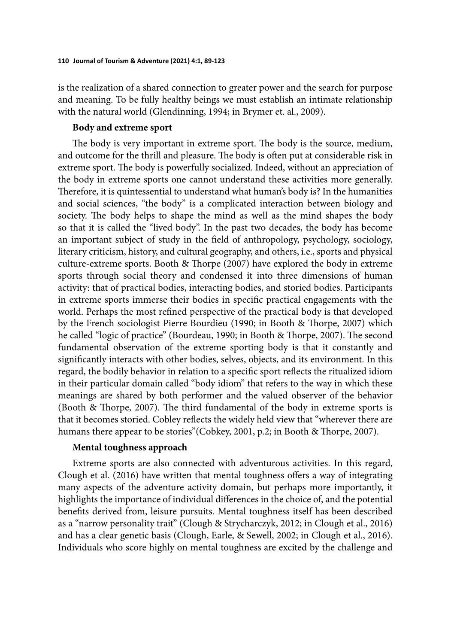is the realization of a shared connection to greater power and the search for purpose and meaning. To be fully healthy beings we must establish an intimate relationship with the natural world (Glendinning, 1994; in Brymer et. al., 2009).

# **Body and extreme sport**

The body is very important in extreme sport. The body is the source, medium, and outcome for the thrill and pleasure. The body is often put at considerable risk in extreme sport. The body is powerfully socialized. Indeed, without an appreciation of the body in extreme sports one cannot understand these activities more generally. Therefore, it is quintessential to understand what human's body is? In the humanities and social sciences, "the body" is a complicated interaction between biology and society. The body helps to shape the mind as well as the mind shapes the body so that it is called the "lived body". In the past two decades, the body has become an important subject of study in the field of anthropology, psychology, sociology, literary criticism, history, and cultural geography, and others, i.e., sports and physical culture-extreme sports. Booth & Thorpe (2007) have explored the body in extreme sports through social theory and condensed it into three dimensions of human activity: that of practical bodies, interacting bodies, and storied bodies. Participants in extreme sports immerse their bodies in specific practical engagements with the world. Perhaps the most refined perspective of the practical body is that developed by the French sociologist Pierre Bourdieu (1990; in Booth & Thorpe, 2007) which he called "logic of practice" (Bourdeau, 1990; in Booth & Thorpe, 2007). The second fundamental observation of the extreme sporting body is that it constantly and significantly interacts with other bodies, selves, objects, and its environment. In this regard, the bodily behavior in relation to a specific sport reflects the ritualized idiom in their particular domain called "body idiom" that refers to the way in which these meanings are shared by both performer and the valued observer of the behavior (Booth & Thorpe, 2007). The third fundamental of the body in extreme sports is that it becomes storied. Cobley reflects the widely held view that "wherever there are humans there appear to be stories"(Cobkey, 2001, p.2; in Booth & Thorpe, 2007).

### **Mental toughness approach**

Extreme sports are also connected with adventurous activities. In this regard, Clough et al. (2016) have written that mental toughness offers a way of integrating many aspects of the adventure activity domain, but perhaps more importantly, it highlights the importance of individual differences in the choice of, and the potential benefits derived from, leisure pursuits. Mental toughness itself has been described as a "narrow personality trait" (Clough & Strycharczyk, 2012; in Clough et al., 2016) and has a clear genetic basis (Clough, Earle, & Sewell, 2002; in Clough et al., 2016). Individuals who score highly on mental toughness are excited by the challenge and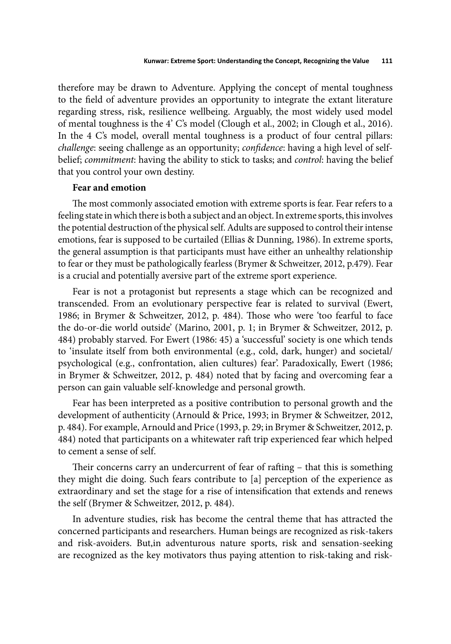therefore may be drawn to Adventure. Applying the concept of mental toughness to the field of adventure provides an opportunity to integrate the extant literature regarding stress, risk, resilience wellbeing. Arguably, the most widely used model of mental toughness is the 4' C's model (Clough et al., 2002; in Clough et al., 2016). In the 4 C's model, overall mental toughness is a product of four central pillars: *challenge*: seeing challenge as an opportunity; *confidence*: having a high level of selfbelief; *commitment*: having the ability to stick to tasks; and *control*: having the belief that you control your own destiny.

# **Fear and emotion**

The most commonly associated emotion with extreme sports is fear. Fear refers to a feeling state in which there is both a subject and an object. In extreme sports, this involves the potential destruction of the physical self. Adults are supposed to control their intense emotions, fear is supposed to be curtailed (Ellias & Dunning, 1986). In extreme sports, the general assumption is that participants must have either an unhealthy relationship to fear or they must be pathologically fearless (Brymer & Schweitzer, 2012, p.479). Fear is a crucial and potentially aversive part of the extreme sport experience.

Fear is not a protagonist but represents a stage which can be recognized and transcended. From an evolutionary perspective fear is related to survival (Ewert, 1986; in Brymer & Schweitzer, 2012, p. 484). Those who were 'too fearful to face the do-or-die world outside' (Marino, 2001, p. 1; in Brymer & Schweitzer, 2012, p. 484) probably starved. For Ewert (1986: 45) a 'successful' society is one which tends to 'insulate itself from both environmental (e.g., cold, dark, hunger) and societal/ psychological (e.g., confrontation, alien cultures) fear'. Paradoxically, Ewert (1986; in Brymer & Schweitzer, 2012, p. 484) noted that by facing and overcoming fear a person can gain valuable self-knowledge and personal growth.

Fear has been interpreted as a positive contribution to personal growth and the development of authenticity (Arnould & Price, 1993; in Brymer & Schweitzer, 2012, p. 484). For example, Arnould and Price (1993, p. 29; in Brymer & Schweitzer, 2012, p. 484) noted that participants on a whitewater raft trip experienced fear which helped to cement a sense of self.

Their concerns carry an undercurrent of fear of rafting - that this is something they might die doing. Such fears contribute to [a] perception of the experience as extraordinary and set the stage for a rise of intensification that extends and renews the self (Brymer & Schweitzer, 2012, p. 484).

In adventure studies, risk has become the central theme that has attracted the concerned participants and researchers. Human beings are recognized as risk-takers and risk-avoiders. But,in adventurous nature sports, risk and sensation-seeking are recognized as the key motivators thus paying attention to risk-taking and risk-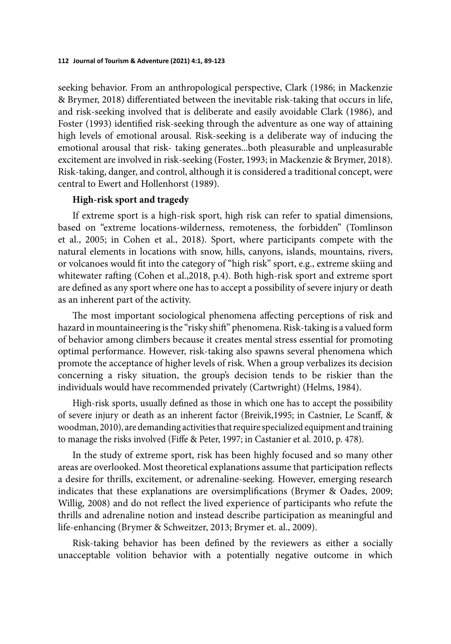seeking behavior. From an anthropological perspective, Clark (1986; in Mackenzie & Brymer, 2018) differentiated between the inevitable risk-taking that occurs in life, and risk-seeking involved that is deliberate and easily avoidable Clark (1986), and Foster (1993) identified risk-seeking through the adventure as one way of attaining high levels of emotional arousal. Risk-seeking is a deliberate way of inducing the emotional arousal that risk- taking generates...both pleasurable and unpleasurable excitement are involved in risk-seeking (Foster, 1993; in Mackenzie & Brymer, 2018). Risk-taking, danger, and control, although it is considered a traditional concept, were central to Ewert and Hollenhorst (1989).

### **High-risk sport and tragedy**

If extreme sport is a high-risk sport, high risk can refer to spatial dimensions, based on "extreme locations-wilderness, remoteness, the forbidden'' (Tomlinson et al., 2005; in Cohen et al., 2018). Sport, where participants compete with the natural elements in locations with snow, hills, canyons, islands, mountains, rivers, or volcanoes would fit into the category of "high risk" sport, e.g., extreme skiing and whitewater rafting (Cohen et al., 2018, p.4). Both high-risk sport and extreme sport are defined as any sport where one has to accept a possibility of severe injury or death as an inherent part of the activity.

The most important sociological phenomena affecting perceptions of risk and hazard in mountaineering is the "risky shift" phenomena. Risk-taking is a valued form of behavior among climbers because it creates mental stress essential for promoting optimal performance. However, risk-taking also spawns several phenomena which promote the acceptance of higher levels of risk. When a group verbalizes its decision concerning a risky situation, the group's decision tends to be riskier than the individuals would have recommended privately (Cartwright) (Helms, 1984).

High-risk sports, usually defined as those in which one has to accept the possibility of severe injury or death as an inherent factor (Breivik,1995; in Castnier, Le Scanff , & woodman, 2010), are demanding activities that require specialized equipment and training to manage the risks involved (Fiffe & Peter, 1997; in Castanier et al. 2010, p. 478).

In the study of extreme sport, risk has been highly focused and so many other areas are overlooked. Most theoretical explanations assume that participation reflects a desire for thrills, excitement, or adrenaline-seeking. However, emerging research indicates that these explanations are oversimplifications (Brymer  $\&$  Oades, 2009; Willig, 2008) and do not reflect the lived experience of participants who refute the thrills and adrenaline notion and instead describe participation as meaningful and life-enhancing (Brymer & Schweitzer, 2013; Brymer et. al., 2009).

Risk-taking behavior has been defined by the reviewers as either a socially unacceptable volition behavior with a potentially negative outcome in which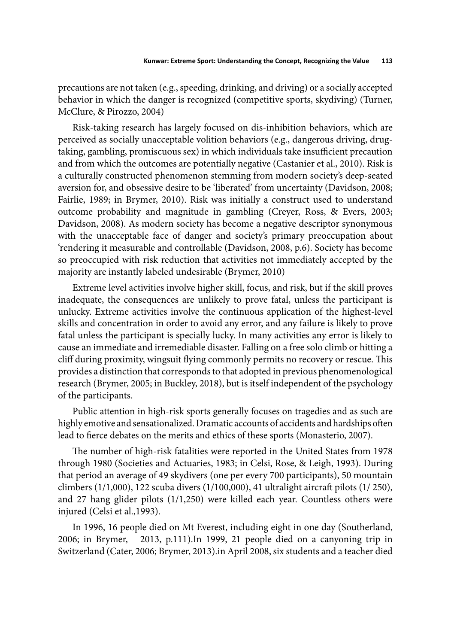precautions are not taken (e.g., speeding, drinking, and driving) or a socially accepted behavior in which the danger is recognized (competitive sports, skydiving) (Turner, McClure, & Pirozzo, 2004)

Risk-taking research has largely focused on dis-inhibition behaviors, which are perceived as socially unacceptable volition behaviors (e.g., dangerous driving, drugtaking, gambling, promiscuous sex) in which individuals take insufficient precaution and from which the outcomes are potentially negative (Castanier et al., 2010). Risk is a culturally constructed phenomenon stemming from modern society's deep-seated aversion for, and obsessive desire to be 'liberated' from uncertainty (Davidson, 2008; Fairlie, 1989; in Brymer, 2010). Risk was initially a construct used to understand outcome probability and magnitude in gambling (Creyer, Ross, & Evers, 2003; Davidson, 2008). As modern society has become a negative descriptor synonymous with the unacceptable face of danger and society's primary preoccupation about 'rendering it measurable and controllable (Davidson, 2008, p.6). Society has become so preoccupied with risk reduction that activities not immediately accepted by the majority are instantly labeled undesirable (Brymer, 2010)

Extreme level activities involve higher skill, focus, and risk, but if the skill proves inadequate, the consequences are unlikely to prove fatal, unless the participant is unlucky. Extreme activities involve the continuous application of the highest-level skills and concentration in order to avoid any error, and any failure is likely to prove fatal unless the participant is specially lucky. In many activities any error is likely to cause an immediate and irremediable disaster. Falling on a free solo climb or hitting a cliff during proximity, wingsuit flying commonly permits no recovery or rescue. This provides a distinction that corresponds to that adopted in previous phenomenological research (Brymer, 2005; in Buckley, 2018), but is itself independent of the psychology of the participants.

Public attention in high-risk sports generally focuses on tragedies and as such are highly emotive and sensationalized. Dramatic accounts of accidents and hardships often lead to fierce debates on the merits and ethics of these sports (Monasterio, 2007).

The number of high-risk fatalities were reported in the United States from 1978 through 1980 (Societies and Actuaries, 1983; in Celsi, Rose, & Leigh, 1993). During that period an average of 49 skydivers (one per every 700 participants), 50 mountain climbers (1/1,000), 122 scuba divers (1/100,000), 41 ultralight aircraft pilots (1/ 250), and 27 hang glider pilots (1/1,250) were killed each year. Countless others were injured (Celsi et al.,1993).

In 1996, 16 people died on Mt Everest, including eight in one day (Southerland, 2006; in Brymer, 2013, p.111).In 1999, 21 people died on a canyoning trip in Switzerland (Cater, 2006; Brymer, 2013).in April 2008, six students and a teacher died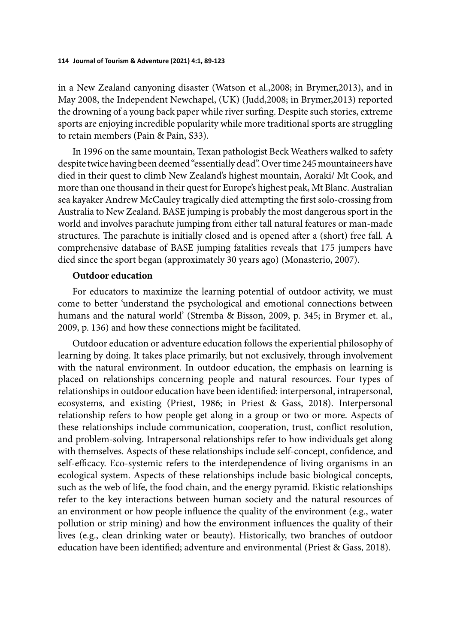in a New Zealand canyoning disaster (Watson et al.,2008; in Brymer,2013), and in May 2008, the Independent Newchapel, (UK) (Judd,2008; in Brymer,2013) reported the drowning of a young back paper while river surfing. Despite such stories, extreme sports are enjoying incredible popularity while more traditional sports are struggling to retain members (Pain & Pain, S33).

In 1996 on the same mountain, Texan pathologist Beck Weathers walked to safety despite twice having been deemed "essentially dead". Over time 245 mountaineers have died in their quest to climb New Zealand's highest mountain, Aoraki/ Mt Cook, and more than one thousand in their quest for Europe's highest peak, Mt Blanc. Australian sea kayaker Andrew McCauley tragically died attempting the first solo-crossing from Australia to New Zealand. BASE jumping is probably the most dangerous sport in the world and involves parachute jumping from either tall natural features or man-made structures. The parachute is initially closed and is opened after a (short) free fall. A comprehensive database of BASE jumping fatalities reveals that 175 jumpers have died since the sport began (approximately 30 years ago) (Monasterio, 2007).

### **Outdoor education**

For educators to maximize the learning potential of outdoor activity, we must come to better 'understand the psychological and emotional connections between humans and the natural world' (Stremba & Bisson, 2009, p. 345; in Brymer et. al., 2009, p. 136) and how these connections might be facilitated.

Outdoor education or adventure education follows the experiential philosophy of learning by doing. It takes place primarily, but not exclusively, through involvement with the natural environment. In outdoor education, the emphasis on learning is placed on relationships concerning people and natural resources. Four types of relationships in outdoor education have been identified: interpersonal, intrapersonal, ecosystems, and existing (Priest, 1986; in Priest & Gass, 2018). Interpersonal relationship refers to how people get along in a group or two or more. Aspects of these relationships include communication, cooperation, trust, conflict resolution, and problem-solving. Intrapersonal relationships refer to how individuals get along with themselves. Aspects of these relationships include self-concept, confidence, and self-efficacy. Eco-systemic refers to the interdependence of living organisms in an ecological system. Aspects of these relationships include basic biological concepts, such as the web of life, the food chain, and the energy pyramid. Ekistic relationships refer to the key interactions between human society and the natural resources of an environment or how people influence the quality of the environment (e.g., water pollution or strip mining) and how the environment influences the quality of their lives (e.g., clean drinking water or beauty). Historically, two branches of outdoor education have been identified; adventure and environmental (Priest & Gass, 2018).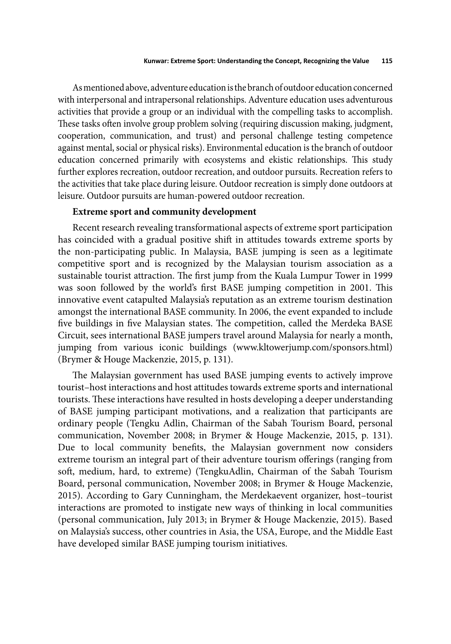As mentioned above, adventure education is the branch of outdoor education concerned with interpersonal and intrapersonal relationships. Adventure education uses adventurous activities that provide a group or an individual with the compelling tasks to accomplish. These tasks often involve group problem solving (requiring discussion making, judgment, cooperation, communication, and trust) and personal challenge testing competence against mental, social or physical risks). Environmental education is the branch of outdoor education concerned primarily with ecosystems and ekistic relationships. This study further explores recreation, outdoor recreation, and outdoor pursuits. Recreation refers to the activities that take place during leisure. Outdoor recreation is simply done outdoors at leisure. Outdoor pursuits are human-powered outdoor recreation.

### **Extreme sport and community development**

Recent research revealing transformational aspects of extreme sport participation has coincided with a gradual positive shift in attitudes towards extreme sports by the non-participating public. In Malaysia, BASE jumping is seen as a legitimate competitive sport and is recognized by the Malaysian tourism association as a sustainable tourist attraction. The first jump from the Kuala Lumpur Tower in 1999 was soon followed by the world's first BASE jumping competition in 2001. This innovative event catapulted Malaysia's reputation as an extreme tourism destination amongst the international BASE community. In 2006, the event expanded to include five buildings in five Malaysian states. The competition, called the Merdeka BASE Circuit, sees international BASE jumpers travel around Malaysia for nearly a month, jumping from various iconic buildings (www.kltowerjump.com/sponsors.html) (Brymer & Houge Mackenzie, 2015, p. 131).

The Malaysian government has used BASE jumping events to actively improve tourist–host interactions and host attitudes towards extreme sports and international tourists. These interactions have resulted in hosts developing a deeper understanding of BASE jumping participant motivations, and a realization that participants are ordinary people (Tengku Adlin, Chairman of the Sabah Tourism Board, personal communication, November 2008; in Brymer & Houge Mackenzie, 2015, p. 131). Due to local community benefits, the Malaysian government now considers extreme tourism an integral part of their adventure tourism offerings (ranging from soft, medium, hard, to extreme) (TengkuAdlin, Chairman of the Sabah Tourism Board, personal communication, November 2008; in Brymer & Houge Mackenzie, 2015). According to Gary Cunningham, the Merdekaevent organizer, host–tourist interactions are promoted to instigate new ways of thinking in local communities (personal communication, July 2013; in Brymer & Houge Mackenzie, 2015). Based on Malaysia's success, other countries in Asia, the USA, Europe, and the Middle East have developed similar BASE jumping tourism initiatives.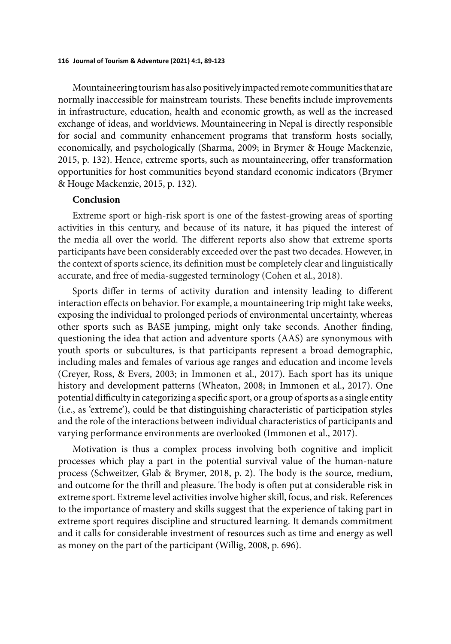Mountaineering tourism has also positively impacted remote communities that are normally inaccessible for mainstream tourists. These benefits include improvements in infrastructure, education, health and economic growth, as well as the increased exchange of ideas, and worldviews. Mountaineering in Nepal is directly responsible for social and community enhancement programs that transform hosts socially, economically, and psychologically (Sharma, 2009; in Brymer & Houge Mackenzie, 2015, p. 132). Hence, extreme sports, such as mountaineering, offer transformation opportunities for host communities beyond standard economic indicators (Brymer & Houge Mackenzie, 2015, p. 132).

### **Conclusion**

Extreme sport or high-risk sport is one of the fastest-growing areas of sporting activities in this century, and because of its nature, it has piqued the interest of the media all over the world. The different reports also show that extreme sports participants have been considerably exceeded over the past two decades. However, in the context of sports science, its definition must be completely clear and linguistically accurate, and free of media-suggested terminology (Cohen et al., 2018).

Sports differ in terms of activity duration and intensity leading to different interaction effects on behavior. For example, a mountaineering trip might take weeks, exposing the individual to prolonged periods of environmental uncertainty, whereas other sports such as BASE jumping, might only take seconds. Another finding, questioning the idea that action and adventure sports (AAS) are synonymous with youth sports or subcultures, is that participants represent a broad demographic, including males and females of various age ranges and education and income levels (Creyer, Ross, & Evers, 2003; in Immonen et al., 2017). Each sport has its unique history and development patterns (Wheaton, 2008; in Immonen et al., 2017). One potential difficulty in categorizing a specific sport, or a group of sports as a single entity (i.e., as 'extreme'), could be that distinguishing characteristic of participation styles and the role of the interactions between individual characteristics of participants and varying performance environments are overlooked (Immonen et al., 2017).

Motivation is thus a complex process involving both cognitive and implicit processes which play a part in the potential survival value of the human-nature process (Schweitzer, Glab & Brymer, 2018, p. 2). The body is the source, medium, and outcome for the thrill and pleasure. The body is often put at considerable risk in extreme sport. Extreme level activities involve higher skill, focus, and risk. References to the importance of mastery and skills suggest that the experience of taking part in extreme sport requires discipline and structured learning. It demands commitment and it calls for considerable investment of resources such as time and energy as well as money on the part of the participant (Willig, 2008, p. 696).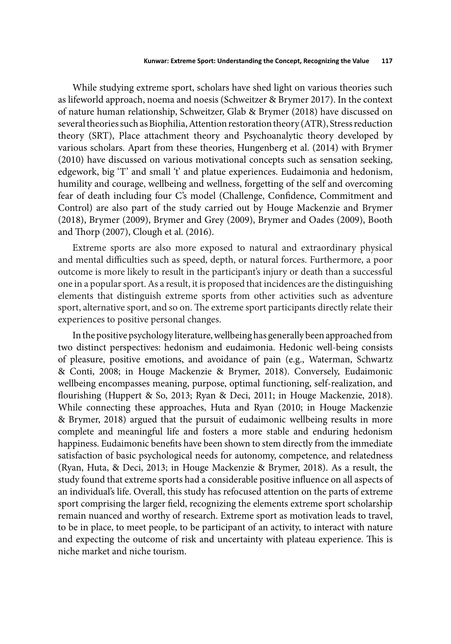While studying extreme sport, scholars have shed light on various theories such as lifeworld approach, noema and noesis (Schweitzer & Brymer 2017). In the context of nature human relationship, Schweitzer, Glab & Brymer (2018) have discussed on several theories such as Biophilia, Attention restoration theory (ATR), Stress reduction theory (SRT), Place attachment theory and Psychoanalytic theory developed by various scholars. Apart from these theories, Hungenberg et al. (2014) with Brymer (2010) have discussed on various motivational concepts such as sensation seeking, edgework, big 'T' and small 't' and platue experiences. Eudaimonia and hedonism, humility and courage, wellbeing and wellness, forgetting of the self and overcoming fear of death including four C's model (Challenge, Confidence, Commitment and Control) are also part of the study carried out by Houge Mackenzie and Brymer (2018), Brymer (2009), Brymer and Grey (2009), Brymer and Oades (2009), Booth and Thorp (2007), Clough et al. (2016).

Extreme sports are also more exposed to natural and extraordinary physical and mental difficulties such as speed, depth, or natural forces. Furthermore, a poor outcome is more likely to result in the participant's injury or death than a successful one in a popular sport. As a result, it is proposed that incidences are the distinguishing elements that distinguish extreme sports from other activities such as adventure sport, alternative sport, and so on. The extreme sport participants directly relate their experiences to positive personal changes.

In the positive psychology literature, wellbeing has generally been approached from two distinct perspectives: hedonism and eudaimonia. Hedonic well-being consists of pleasure, positive emotions, and avoidance of pain (e.g., Waterman, Schwartz & Conti, 2008; in Houge Mackenzie & Brymer, 2018). Conversely, Eudaimonic wellbeing encompasses meaning, purpose, optimal functioning, self-realization, and flourishing (Huppert & So, 2013; Ryan & Deci, 2011; in Houge Mackenzie, 2018). While connecting these approaches, Huta and Ryan (2010; in Houge Mackenzie & Brymer, 2018) argued that the pursuit of eudaimonic wellbeing results in more complete and meaningful life and fosters a more stable and enduring hedonism happiness. Eudaimonic benefits have been shown to stem directly from the immediate satisfaction of basic psychological needs for autonomy, competence, and relatedness (Ryan, Huta, & Deci, 2013; in Houge Mackenzie & Brymer, 2018). As a result, the study found that extreme sports had a considerable positive influence on all aspects of an individual's life. Overall, this study has refocused attention on the parts of extreme sport comprising the larger field, recognizing the elements extreme sport scholarship remain nuanced and worthy of research. Extreme sport as motivation leads to travel, to be in place, to meet people, to be participant of an activity, to interact with nature and expecting the outcome of risk and uncertainty with plateau experience. This is niche market and niche tourism.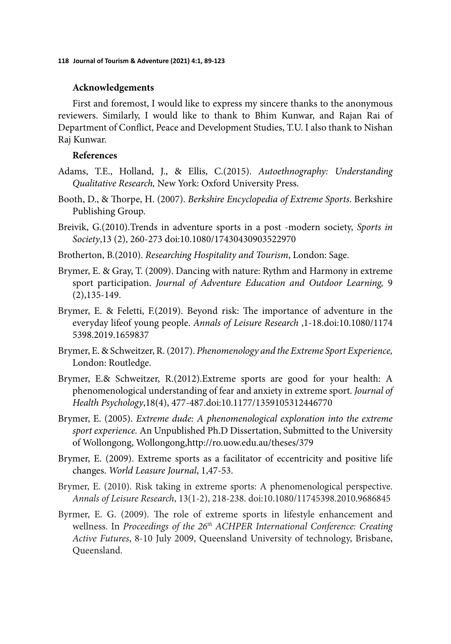### **Acknowledgements**

First and foremost, I would like to express my sincere thanks to the anonymous reviewers. Similarly, I would like to thank to Bhim Kunwar, and Rajan Rai of Department of Conflict, Peace and Development Studies, T.U. I also thank to Nishan Raj Kunwar.

### **References**

- Adams, T.E., Holland, J., & Ellis, C.(2015). *Autoethnography: Understanding Qualitative Research,* New York: Oxford University Press.
- Booth, D., & Th orpe, H. (2007). *Berkshire Encyclopedia of Extreme Sports*. Berkshire Publishing Group.
- Breivik, G.(2010).Trends in adventure sports in a post -modern society, *Sports in Society*,13 (2), 260-273 doi:10.1080/17430430903522970
- Brotherton, B.(2010). *Researching Hospitality and Tourism*, London: Sage.
- Brymer, E. & Gray, T. (2009). Dancing with nature: Rythm and Harmony in extreme sport participation. *Journal of Adventure Education and Outdoor Learning,* 9 (2),135-149.
- Brymer, E. & Feletti, F.  $(2019)$ . Beyond risk: The importance of adventure in the everyday lifeof young people. *Annals of Leisure Research* ,1-18.doi:10.1080/1174 5398.2019.1659837
- Brymer, E. & Schweitzer, R. (2017). *Phenomenology and the Extreme Sport Experience,* London: Routledge.
- Brymer, E.& Schweitzer, R.(2012).Extreme sports are good for your health: A phenomenological understanding of fear and anxiety in extreme sport. *Journal of Health Psychology*,18(4), 477-487.doi:10.1177/1359105312446770
- Brymer, E. (2005). *Extreme dude: A phenomenological exploration into the extreme sport experience.* An Unpublished Ph.D Dissertation, Submitted to the University of Wollongong, Wollongong,http://ro.uow.edu.au/theses/379
- Brymer, E. (2009). Extreme sports as a facilitator of eccentricity and positive life changes. *World Leasure Journal*, 1,47-53.
- Brymer, E. (2010). Risk taking in extreme sports: A phenomenological perspective. *Annals of Leisure Research*, 13(1-2), 218-238. doi:10.1080/11745398.2010.9686845
- Byrmer, E. G. (2009). The role of extreme sports in lifestyle enhancement and wellness. In *Proceedings of the 26th ACHPER International Conference: Creating Active Futures*, 8-10 July 2009, Queensland University of technology, Brisbane, Queensland.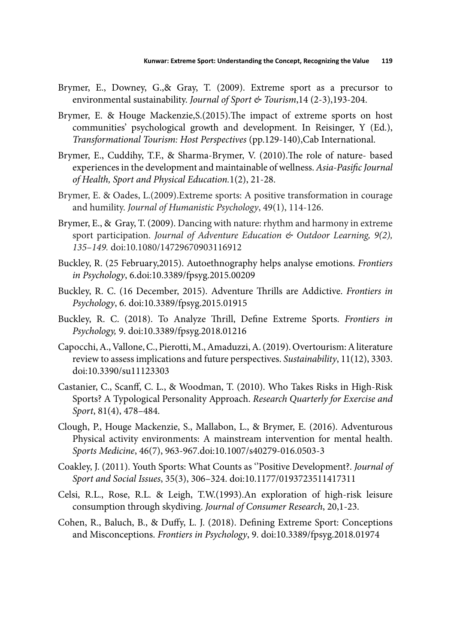- Brymer, E., Downey, G.,& Gray, T. (2009). Extreme sport as a precursor to environmental sustainability. *Journal of Sport & Tourism*,14 (2-3),193-204.
- Brymer, E. & Houge Mackenzie, S. (2015). The impact of extreme sports on host communities' psychological growth and development. In Reisinger, Y (Ed.), *Transformational Tourism: Host Perspectives* (pp.129-140),Cab International.
- Brymer, E., Cuddihy, T.F., & Sharma-Brymer, V. (2010). The role of nature- based experiences in the development and maintainable of wellness. Asia-Pasific Journal *of Health, Sport and Physical Education.*1(2), 21-28.
- Brymer, E. & Oades, L.(2009).Extreme sports: A positive transformation in courage and humility. *Journal of Humanistic Psychology*, 49(1), 114-126.
- Brymer, E., & Gray, T. (2009). Dancing with nature: rhythm and harmony in extreme sport participation. *Journal of Adventure Education & Outdoor Learning, 9(2), 135–149.* doi:10.1080/14729670903116912
- Buckley, R. (25 February,2015). Autoethnography helps analyse emotions. *Frontiers in Psychology*, 6.doi:10.3389/fpsyg.2015.00209
- Buckley, R. C. (16 December, 2015). Adventure Th rills are Addictive. *Frontiers in Psychology*, 6. doi:10.3389/fpsyg.2015.01915
- Buckley, R. C. (2018). To Analyze Thrill, Define Extreme Sports. *Frontiers in Psychology,* 9. doi:10.3389/fpsyg.2018.01216
- Capocchi, A., Vallone, C., Pierotti, M., Amaduzzi, A. (2019). Overtourism: A literature review to assess implications and future perspectives. *Sustainability*, 11(12), 3303. doi:10.3390/su11123303
- Castanier, C., Scanff, C. L., & Woodman, T. (2010). Who Takes Risks in High-Risk Sports? A Typological Personality Approach. *Research Quarterly for Exercise and Sport*, 81(4), 478–484.
- Clough, P., Houge Mackenzie, S., Mallabon, L., & Brymer, E. (2016). Adventurous Physical activity environments: A mainstream intervention for mental health. *Sports Medicine*, 46(7), 963-967.doi:10.1007/s40279-016.0503-3
- Coakley, J. (2011). Youth Sports: What Counts as ''Positive Development?. *Journal of Sport and Social Issues*, 35(3), 306–324. doi:10.1177/0193723511417311
- Celsi, R.L., Rose, R.L. & Leigh, T.W.(1993).An exploration of high-risk leisure consumption through skydiving. *Journal of Consumer Research*, 20,1-23.
- Cohen, R., Baluch, B., & Duffy, L. J. (2018). Defining Extreme Sport: Conceptions and Misconceptions. *Frontiers in Psychology*, 9. doi:10.3389/fpsyg.2018.01974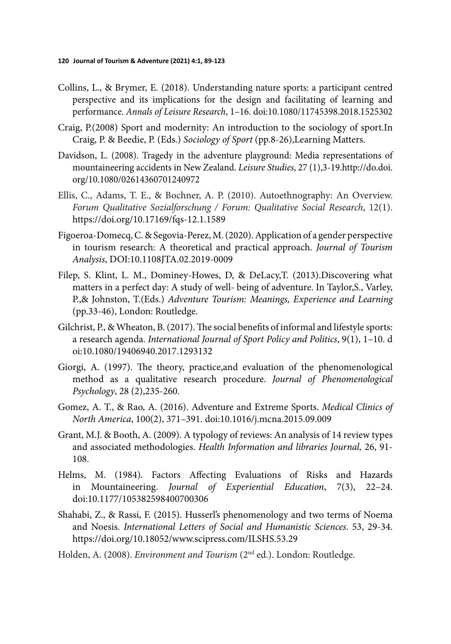- Collins, L., & Brymer, E. (2018). Understanding nature sports: a participant centred perspective and its implications for the design and facilitating of learning and performance. *Annals of Leisure Research*, 1–16. doi:10.1080/11745398.2018.1525302
- Craig, P.(2008) Sport and modernity: An introduction to the sociology of sport.In Craig, P. & Beedie, P. (Eds.) *Sociology of Sport* (pp.8-26),Learning Matters.
- Davidson, L. (2008). Tragedy in the adventure playground: Media representations of mountaineering accidents in New Zealand. *Leisure Studies*, 27 (1),3-19.http://do.doi. org/10.1080/02614360701240972
- Ellis, C., Adams, T. E., & Bochner, A. P. (2010). Autoethnography: An Overview. *Forum Qualitative Sozialforschung / Forum: Qualitative Social Research*, 12(1). https://doi.org/10.17169/fqs-12.1.1589
- Figoeroa-Domecq, C. & Segovia-Perez, M. (2020). Application of a gender perspective in tourism research: A theoretical and practical approach. *Journal of Tourism Analysis*, DOI:10.1108JTA.02.2019-0009
- Filep, S. Klint, L. M., Dominey-Howes, D, & DeLacy,T. (2013).Discovering what matters in a perfect day: A study of well- being of adventure. In Taylor,S., Varley, P.,& Johnston, T.(Eds.) *Adventure Tourism: Meanings, Experience and Learning*  (pp.33-46), London: Routledge.
- Gilchrist, P., & Wheaton, B. (2017). The social benefits of informal and lifestyle sports: a research agenda. *International Journal of Sport Policy and Politics*, 9(1), 1–10. d oi:10.1080/19406940.2017.1293132
- Giorgi, A. (1997). The theory, practice, and evaluation of the phenomenological method as a qualitative research procedure. *Journal of Phenomenological Psychology*, 28 (2),235-260.
- Gomez, A. T., & Rao, A. (2016). Adventure and Extreme Sports. *Medical Clinics of North America*, 100(2), 371–391. doi:10.1016/j.mcna.2015.09.009
- Grant, M.J. & Booth, A. (2009). A typology of reviews: An analysis of 14 review types and associated methodologies. *Health Information and libraries Journal,* 26, 91- 108.
- Helms, M. (1984). Factors Affecting Evaluations of Risks and Hazards in Mountaineering. *Journal of Experiential Education*, 7(3), 22–24. doi:10.1177/105382598400700306
- Shahabi, Z., & Rassi, F. (2015). Husserl's phenomenology and two terms of Noema and Noesis. *International Letters of Social and Humanistic Sciences*. 53, 29-34. https://doi.org/10.18052/www.scipress.com/ILSHS.53.29
- Holden, A. (2008). *Environment and Tourism* (2nd ed.). London: Routledge.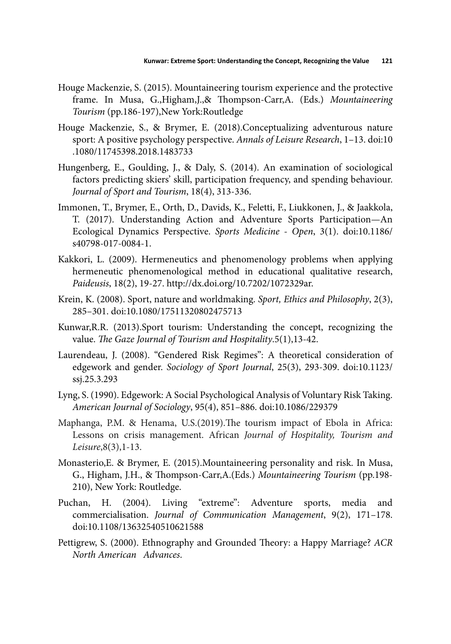- Houge Mackenzie, S. (2015). Mountaineering tourism experience and the protective frame. In Musa, G.,Higham,J.,& Thompson-Carr,A. (Eds.) Mountaineering *Tourism* (pp.186-197),New York:Routledge
- Houge Mackenzie, S., & Brymer, E. (2018).Conceptualizing adventurous nature sport: A positive psychology perspective. *Annals of Leisure Research*, 1–13. doi:10 .1080/11745398.2018.1483733
- Hungenberg, E., Goulding, J., & Daly, S. (2014). An examination of sociological factors predicting skiers' skill, participation frequency, and spending behaviour. *Journal of Sport and Tourism*, 18(4), 313-336.
- Immonen, T., Brymer, E., Orth, D., Davids, K., Feletti, F., Liukkonen, J., & Jaakkola, T. (2017). Understanding Action and Adventure Sports Participation—An Ecological Dynamics Perspective. *Sports Medicine - Open*, 3(1). doi:10.1186/ s40798-017-0084-1.
- Kakkori, L. (2009). Hermeneutics and phenomenology problems when applying hermeneutic phenomenological method in educational qualitative research, *Paideusis*, 18(2), 19-27. http://dx.doi.org/10.7202/1072329ar.
- Krein, K. (2008). Sport, nature and worldmaking. *Sport, Ethics and Philosophy*, 2(3), 285–301. doi:10.1080/17511320802475713
- Kunwar,R.R. (2013).Sport tourism: Understanding the concept, recognizing the value. *The Gaze Journal of Tourism and Hospitality.*5(1),13-42.
- Laurendeau, J. (2008). "Gendered Risk Regimes": A theoretical consideration of edgework and gender. *Sociology of Sport Journal*, 25(3), 293-309. doi:10.1123/ ssj.25.3.293
- Lyng, S. (1990). Edgework: A Social Psychological Analysis of Voluntary Risk Taking. *American Journal of Sociology*, 95(4), 851–886. doi:10.1086/229379
- Maphanga, P.M. & Henama, U.S.(2019). The tourism impact of Ebola in Africa: Lessons on crisis management. African *Journal of Hospitality, Tourism and Leisure*,8(3),1-13.
- Monasterio,E. & Brymer, E. (2015).Mountaineering personality and risk. In Musa, G., Higham, J.H., & Thompson-Carr,A.(Eds.) Mountaineering Tourism (pp.198-210), New York: Routledge.
- Puchan, H. (2004). Living "extreme": Adventure sports, media and commercialisation. *Journal of Communication Management*, 9(2), 171–178. doi:10.1108/13632540510621588
- Pettigrew, S. (2000). Ethnography and Grounded Theory: a Happy Marriage? ACR *North American Advances*.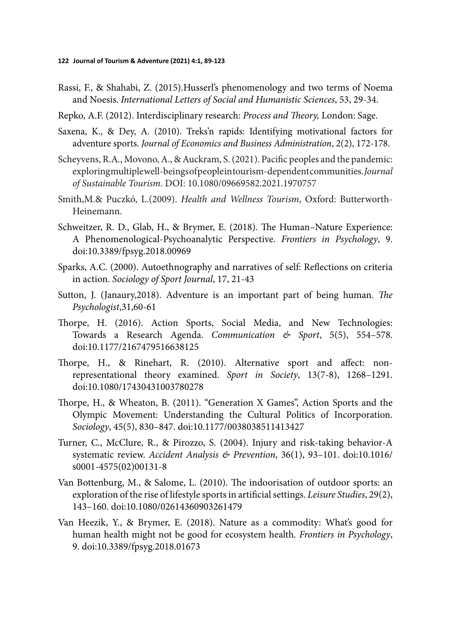- Rassi, F., & Shahabi, Z. (2015).Husserl's phenomenology and two terms of Noema and Noesis. *International Letters of Social and Humanistic Sciences*, 53, 29-34.
- Repko, A.F. (2012). Interdisciplinary research: *Process and Theory*, London: Sage.
- Saxena, K., & Dey, A. (2010). Treks'n rapids: Identifying motivational factors for adventure sports. *Journal of Economics and Business Administration*, 2(2), 172-178.
- Scheyvens, R.A., Movono, A., & Auckram, S. (2021). Pacific peoples and the pandemic: exploring multiple well-beings of people in tourism-dependent communities. *Journal of Sustainable Tourism*. DOI: 10.1080/09669582.2021.1970757
- Smith,M.& Puczkó, L.(2009). *Health and Wellness Tourism*, Oxford: Butterworth-Heinemann.
- Schweitzer, R. D., Glab, H., & Brymer, E. (2018). The Human–Nature Experience: A Phenomenological-Psychoanalytic Perspective. *Frontiers in Psychology*, 9. doi:10.3389/fpsyg.2018.00969
- Sparks, A.C. (2000). Autoethnography and narratives of self: Reflections on criteria in action. *Sociology of Sport Journal*, 17, 21-43
- Sutton, J. (Janaury, 2018). Adventure is an important part of being human. *The Psychologist*,31,60-61
- Thorpe, H. (2016). Action Sports, Social Media, and New Technologies: Towards a Research Agenda. *Communication & Sport*, 5(5), 554–578. doi:10.1177/2167479516638125
- Thorpe, H., & Rinehart, R. (2010). Alternative sport and affect: nonrepresentational theory examined. *Sport in Society*, 13(7-8), 1268–1291. doi:10.1080/17430431003780278
- Thorpe, H., & Wheaton, B. (2011). "Generation X Games", Action Sports and the Olympic Movement: Understanding the Cultural Politics of Incorporation. *Sociology*, 45(5), 830–847. doi:10.1177/0038038511413427
- Turner, C., McClure, R., & Pirozzo, S. (2004). Injury and risk-taking behavior-A systematic review. *Accident Analysis & Prevention*, 36(1), 93–101. doi:10.1016/ s0001-4575(02)00131-8
- Van Bottenburg, M., & Salome, L.  $(2010)$ . The indoorisation of outdoor sports: an exploration of the rise of lifestyle sports in artificial settings. *Leisure Studies*, 29(2), 143–160. doi:10.1080/02614360903261479
- Van Heezik, Y., & Brymer, E. (2018). Nature as a commodity: What's good for human health might not be good for ecosystem health*. Frontiers in Psychology*, 9. doi:10.3389/fpsyg.2018.01673